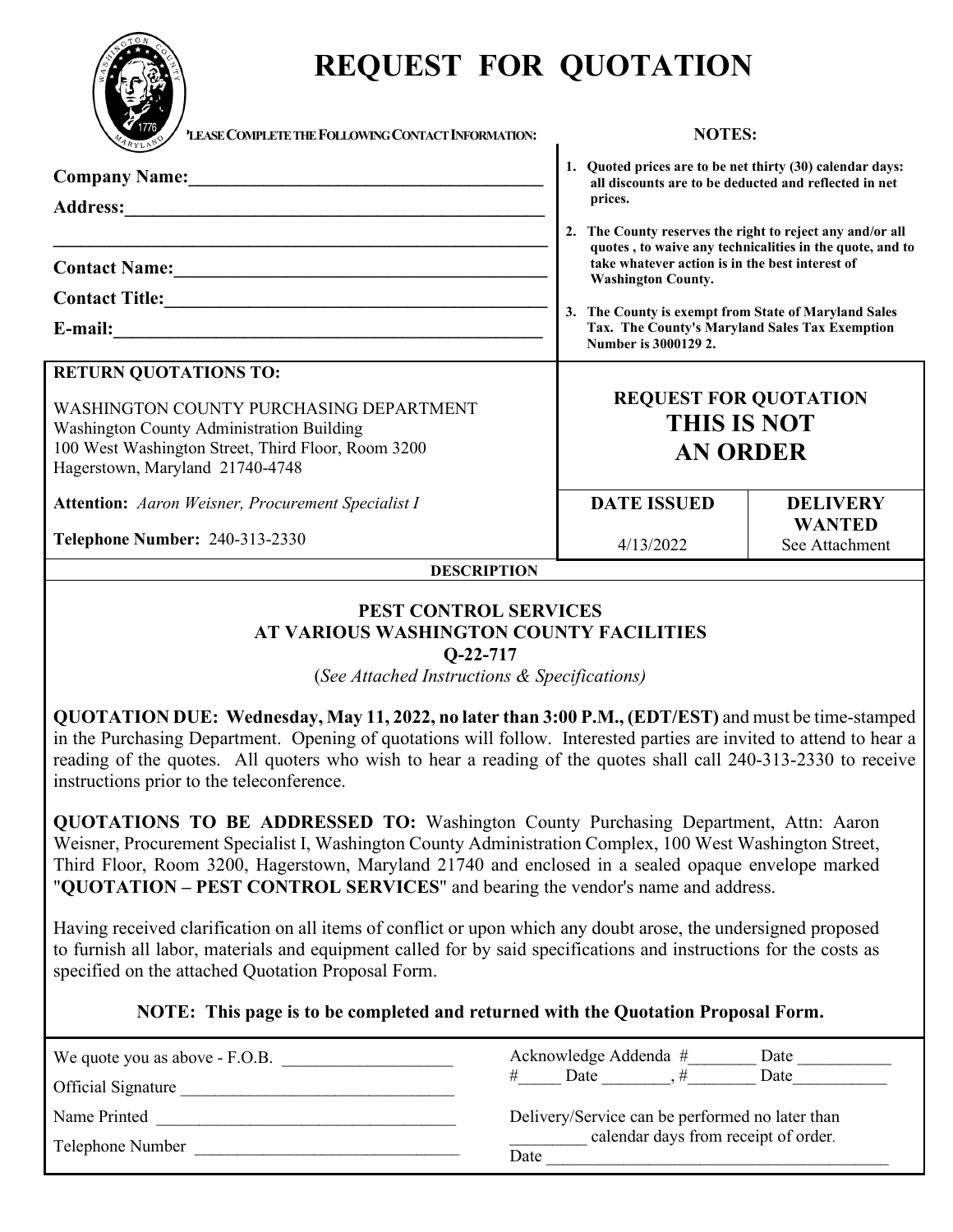

# **REQUEST FOR QUOTATION**

| $\blacktriangledown$ 1776<br>'LEASE COMPLETE THE FOLLOWING CONTACT INFORMATION:                                                                                               | <b>NOTES:</b>                                                                                                                  |                                 |  |  |  |  |
|-------------------------------------------------------------------------------------------------------------------------------------------------------------------------------|--------------------------------------------------------------------------------------------------------------------------------|---------------------------------|--|--|--|--|
| <b>Address:</b>                                                                                                                                                               | 1. Quoted prices are to be net thirty (30) calendar days:<br>all discounts are to be deducted and reflected in net<br>prices.  |                                 |  |  |  |  |
|                                                                                                                                                                               | 2. The County reserves the right to reject any and/or all<br>quotes, to waive any technicalities in the quote, and to          |                                 |  |  |  |  |
|                                                                                                                                                                               | take whatever action is in the best interest of<br><b>Washington County.</b>                                                   |                                 |  |  |  |  |
|                                                                                                                                                                               |                                                                                                                                |                                 |  |  |  |  |
| E-mail:<br><u> 1989 - Johann Barnett, fransk kongresu og den som forskellige og det forskellige og det forskellige og det f</u>                                               | 3. The County is exempt from State of Maryland Sales<br>Tax. The County's Maryland Sales Tax Exemption<br>Number is 3000129 2. |                                 |  |  |  |  |
| <b>RETURN QUOTATIONS TO:</b>                                                                                                                                                  |                                                                                                                                |                                 |  |  |  |  |
| WASHINGTON COUNTY PURCHASING DEPARTMENT<br>Washington County Administration Building<br>100 West Washington Street, Third Floor, Room 3200<br>Hagerstown, Maryland 21740-4748 | <b>REQUEST FOR QUOTATION</b><br><b>THIS IS NOT</b><br><b>AN ORDER</b>                                                          |                                 |  |  |  |  |
| <b>Attention:</b> Aaron Weisner, Procurement Specialist I                                                                                                                     | <b>DATE ISSUED</b>                                                                                                             | <b>DELIVERY</b>                 |  |  |  |  |
| Telephone Number: 240-313-2330                                                                                                                                                | 4/13/2022                                                                                                                      | <b>WANTED</b><br>See Attachment |  |  |  |  |
| <b>DESCRIPTION</b>                                                                                                                                                            |                                                                                                                                |                                 |  |  |  |  |
| PEST CONTROL SERVICES                                                                                                                                                         |                                                                                                                                |                                 |  |  |  |  |

# **AT VARIOUS WASHINGTON COUNTY FACILITIES**

**Q-22-717**

(*See Attached Instructions & Specifications)*

**QUOTATION DUE: Wednesday, May 11, 2022, no later than 3:00 P.M., (EDT/EST)** and must be time-stamped in the Purchasing Department. Opening of quotations will follow. Interested parties are invited to attend to hear a reading of the quotes. All quoters who wish to hear a reading of the quotes shall call 240-313-2330 to receive instructions prior to the teleconference.

**QUOTATIONS TO BE ADDRESSED TO:** Washington County Purchasing Department, Attn: Aaron Weisner, Procurement Specialist I, Washington County Administration Complex, 100 West Washington Street, Third Floor, Room 3200, Hagerstown, Maryland 21740 and enclosed in a sealed opaque envelope marked "**QUOTATION – PEST CONTROL SERVICES**" and bearing the vendor's name and address.

Having received clarification on all items of conflict or upon which any doubt arose, the undersigned proposed to furnish all labor, materials and equipment called for by said specifications and instructions for the costs as specified on the attached Quotation Proposal Form.

**NOTE: This page is to be completed and returned with the Quotation Proposal Form.**

| We quote you as above - F.O.B.<br><b>Official Signature</b> | Acknowledge Addenda #<br>Date<br>Date<br>Date                                                   |  |  |  |  |
|-------------------------------------------------------------|-------------------------------------------------------------------------------------------------|--|--|--|--|
| Name Printed                                                | Delivery/Service can be performed no later than<br>calendar days from receipt of order.<br>Date |  |  |  |  |
| Telephone Number                                            |                                                                                                 |  |  |  |  |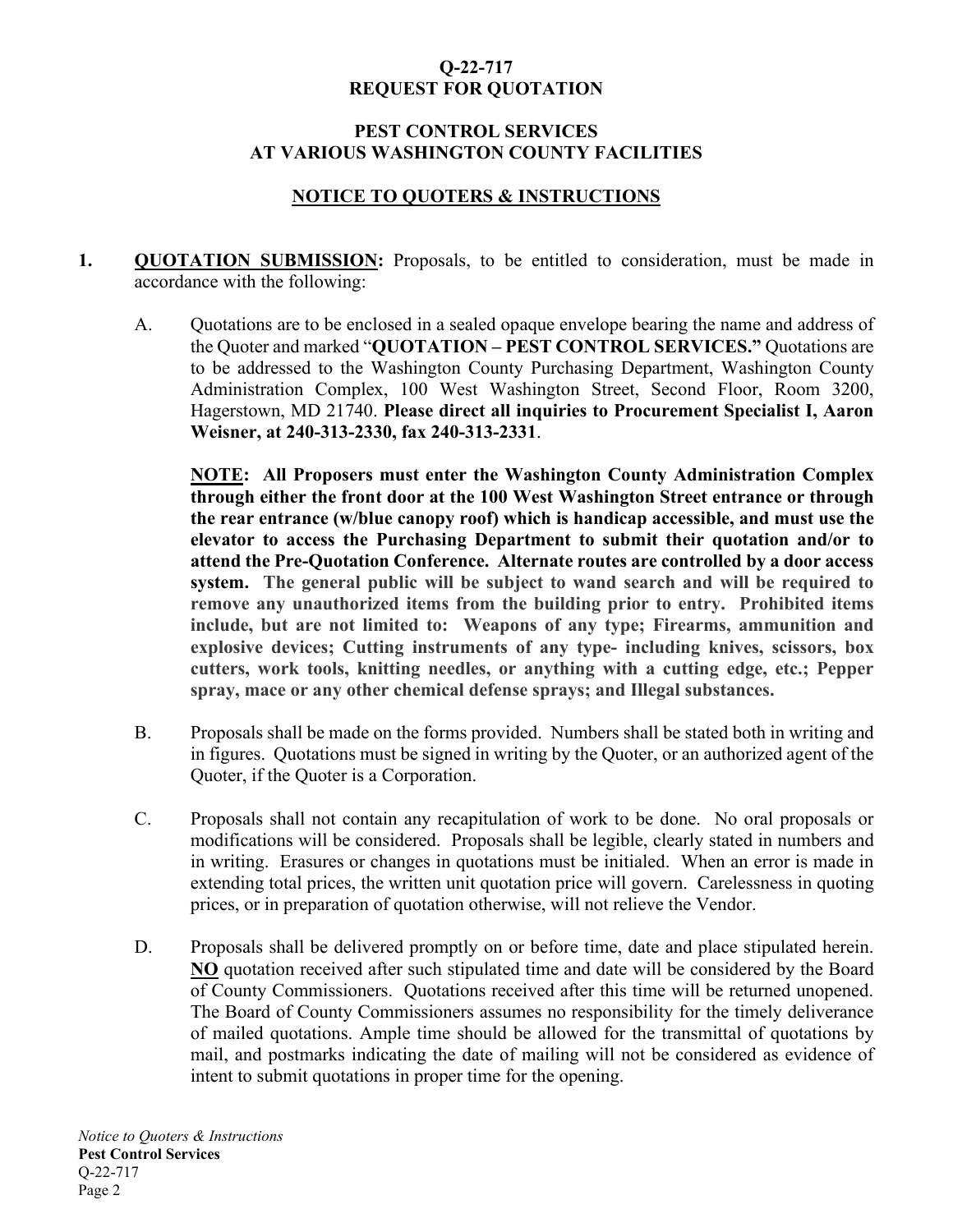## **Q-22-717 REQUEST FOR QUOTATION**

#### **PEST CONTROL SERVICES AT VARIOUS WASHINGTON COUNTY FACILITIES**

# **NOTICE TO QUOTERS & INSTRUCTIONS**

- **1. QUOTATION SUBMISSION:** Proposals, to be entitled to consideration, must be made in accordance with the following:
	- A. Quotations are to be enclosed in a sealed opaque envelope bearing the name and address of the Quoter and marked "**QUOTATION – PEST CONTROL SERVICES."** Quotations are to be addressed to the Washington County Purchasing Department, Washington County Administration Complex, 100 West Washington Street, Second Floor, Room 3200, Hagerstown, MD 21740. **Please direct all inquiries to Procurement Specialist I, Aaron Weisner, at 240-313-2330, fax 240-313-2331**.

**NOTE: All Proposers must enter the Washington County Administration Complex through either the front door at the 100 West Washington Street entrance or through the rear entrance (w/blue canopy roof) which is handicap accessible, and must use the elevator to access the Purchasing Department to submit their quotation and/or to attend the Pre-Quotation Conference. Alternate routes are controlled by a door access system. The general public will be subject to wand search and will be required to remove any unauthorized items from the building prior to entry. Prohibited items include, but are not limited to: Weapons of any type; Firearms, ammunition and explosive devices; Cutting instruments of any type- including knives, scissors, box cutters, work tools, knitting needles, or anything with a cutting edge, etc.; Pepper spray, mace or any other chemical defense sprays; and Illegal substances.**

- B. Proposals shall be made on the forms provided. Numbers shall be stated both in writing and in figures. Quotations must be signed in writing by the Quoter, or an authorized agent of the Quoter, if the Quoter is a Corporation.
- C. Proposals shall not contain any recapitulation of work to be done. No oral proposals or modifications will be considered. Proposals shall be legible, clearly stated in numbers and in writing. Erasures or changes in quotations must be initialed. When an error is made in extending total prices, the written unit quotation price will govern. Carelessness in quoting prices, or in preparation of quotation otherwise, will not relieve the Vendor.
- D. Proposals shall be delivered promptly on or before time, date and place stipulated herein. **NO** quotation received after such stipulated time and date will be considered by the Board of County Commissioners. Quotations received after this time will be returned unopened. The Board of County Commissioners assumes no responsibility for the timely deliverance of mailed quotations. Ample time should be allowed for the transmittal of quotations by mail, and postmarks indicating the date of mailing will not be considered as evidence of intent to submit quotations in proper time for the opening.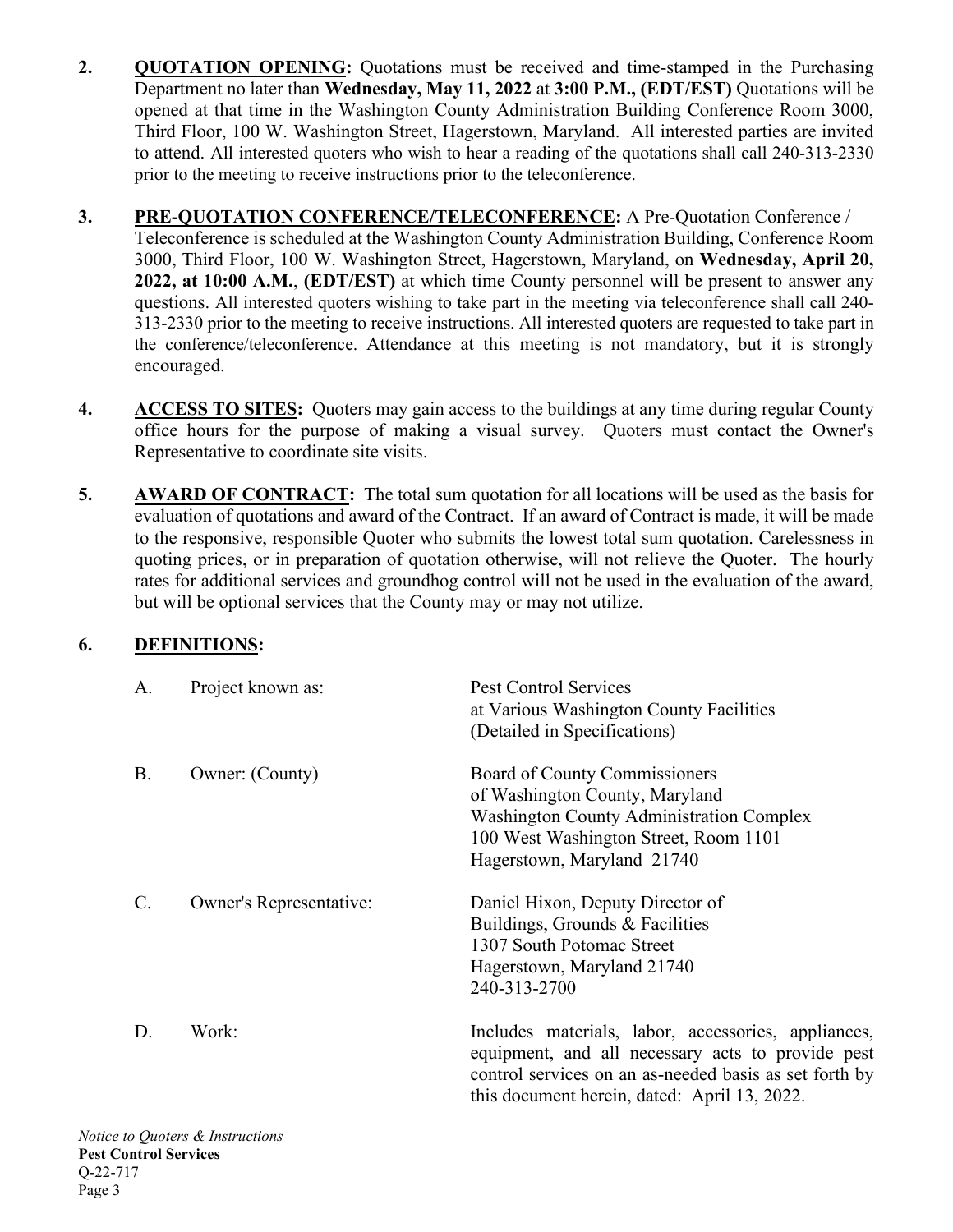- **2. QUOTATION OPENING:** Quotations must be received and time-stamped in the Purchasing Department no later than **Wednesday, May 11, 2022** at **3:00 P.M., (EDT/EST)** Quotations will be opened at that time in the Washington County Administration Building Conference Room 3000, Third Floor, 100 W. Washington Street, Hagerstown, Maryland. All interested parties are invited to attend. All interested quoters who wish to hear a reading of the quotations shall call 240-313-2330 prior to the meeting to receive instructions prior to the teleconference.
- **3. PRE-QUOTATION CONFERENCE/TELECONFERENCE:** A Pre-Quotation Conference / Teleconference is scheduled at the Washington County Administration Building, Conference Room 3000, Third Floor, 100 W. Washington Street, Hagerstown, Maryland, on **Wednesday, April 20, 2022, at 10:00 A.M.**, **(EDT/EST)** at which time County personnel will be present to answer any questions. All interested quoters wishing to take part in the meeting via teleconference shall call 240- 313-2330 prior to the meeting to receive instructions. All interested quoters are requested to take part in the conference/teleconference. Attendance at this meeting is not mandatory, but it is strongly encouraged.
- **4. ACCESS TO SITES:** Quoters may gain access to the buildings at any time during regular County office hours for the purpose of making a visual survey. Quoters must contact the Owner's Representative to coordinate site visits.
- **5. AWARD OF CONTRACT:** The total sum quotation for all locations will be used as the basis for evaluation of quotations and award of the Contract. If an award of Contract is made, it will be made to the responsive, responsible Quoter who submits the lowest total sum quotation. Carelessness in quoting prices, or in preparation of quotation otherwise, will not relieve the Quoter. The hourly rates for additional services and groundhog control will not be used in the evaluation of the award, but will be optional services that the County may or may not utilize.

# **6. DEFINITIONS:**

| A.              | Project known as:       | <b>Pest Control Services</b><br>at Various Washington County Facilities<br>(Detailed in Specifications)                                                                                                            |
|-----------------|-------------------------|--------------------------------------------------------------------------------------------------------------------------------------------------------------------------------------------------------------------|
| <b>B.</b>       | Owner: (County)         | Board of County Commissioners<br>of Washington County, Maryland<br><b>Washington County Administration Complex</b><br>100 West Washington Street, Room 1101<br>Hagerstown, Maryland 21740                          |
| $\mathcal{C}$ . | Owner's Representative: | Daniel Hixon, Deputy Director of<br>Buildings, Grounds & Facilities<br>1307 South Potomac Street<br>Hagerstown, Maryland 21740<br>240-313-2700                                                                     |
| D.              | Work:                   | Includes materials, labor, accessories, appliances,<br>equipment, and all necessary acts to provide pest<br>control services on an as-needed basis as set forth by<br>this document herein, dated: April 13, 2022. |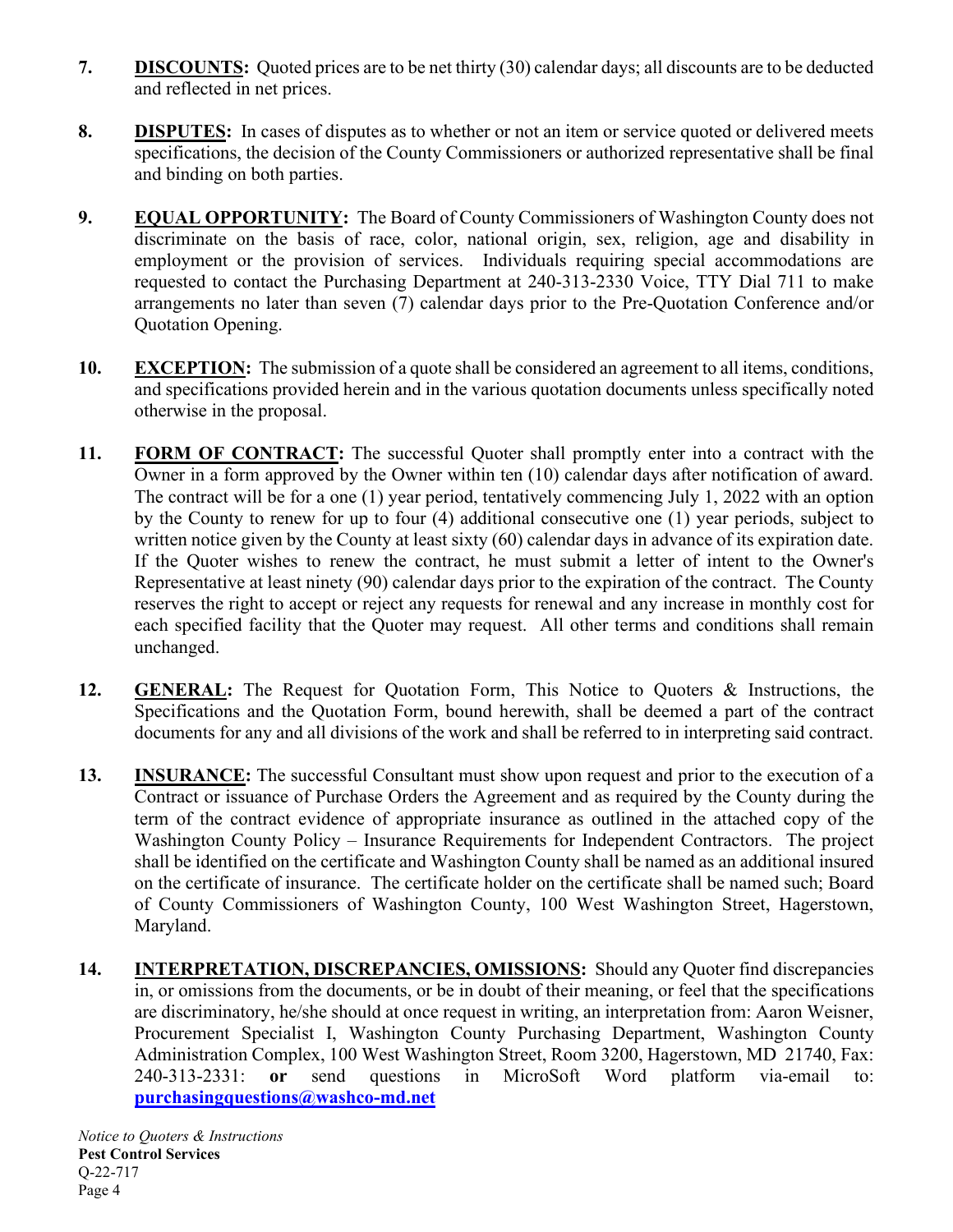- **7. DISCOUNTS:** Quoted prices are to be net thirty (30) calendar days; all discounts are to be deducted and reflected in net prices.
- **8. DISPUTES:** In cases of disputes as to whether or not an item or service quoted or delivered meets specifications, the decision of the County Commissioners or authorized representative shall be final and binding on both parties.
- **9. EQUAL OPPORTUNITY:** The Board of County Commissioners of Washington County does not discriminate on the basis of race, color, national origin, sex, religion, age and disability in employment or the provision of services. Individuals requiring special accommodations are requested to contact the Purchasing Department at 240-313-2330 Voice, TTY Dial 711 to make arrangements no later than seven (7) calendar days prior to the Pre-Quotation Conference and/or Quotation Opening.
- **10. EXCEPTION:** The submission of a quote shall be considered an agreement to all items, conditions, and specifications provided herein and in the various quotation documents unless specifically noted otherwise in the proposal.
- 11. FORM OF CONTRACT: The successful Quoter shall promptly enter into a contract with the Owner in a form approved by the Owner within ten (10) calendar days after notification of award. The contract will be for a one (1) year period, tentatively commencing July 1, 2022 with an option by the County to renew for up to four (4) additional consecutive one (1) year periods, subject to written notice given by the County at least sixty (60) calendar days in advance of its expiration date. If the Quoter wishes to renew the contract, he must submit a letter of intent to the Owner's Representative at least ninety (90) calendar days prior to the expiration of the contract. The County reserves the right to accept or reject any requests for renewal and any increase in monthly cost for each specified facility that the Quoter may request. All other terms and conditions shall remain unchanged.
- **12. GENERAL:** The Request for Quotation Form, This Notice to Quoters & Instructions, the Specifications and the Quotation Form, bound herewith, shall be deemed a part of the contract documents for any and all divisions of the work and shall be referred to in interpreting said contract.
- **13. INSURANCE:** The successful Consultant must show upon request and prior to the execution of a Contract or issuance of Purchase Orders the Agreement and as required by the County during the term of the contract evidence of appropriate insurance as outlined in the attached copy of the Washington County Policy – Insurance Requirements for Independent Contractors. The project shall be identified on the certificate and Washington County shall be named as an additional insured on the certificate of insurance. The certificate holder on the certificate shall be named such; Board of County Commissioners of Washington County, 100 West Washington Street, Hagerstown, Maryland.
- **14. INTERPRETATION, DISCREPANCIES, OMISSIONS:** Should any Quoter find discrepancies in, or omissions from the documents, or be in doubt of their meaning, or feel that the specifications are discriminatory, he/she should at once request in writing, an interpretation from: Aaron Weisner, Procurement Specialist I, Washington County Purchasing Department, Washington County Administration Complex, 100 West Washington Street, Room 3200, Hagerstown, MD 21740, Fax: 240-313-2331: **or** send questions in MicroSoft Word platform via-email to: **[purchasingquestions@washco-md.net](mailto:purchasingquestions@washco-md.net)**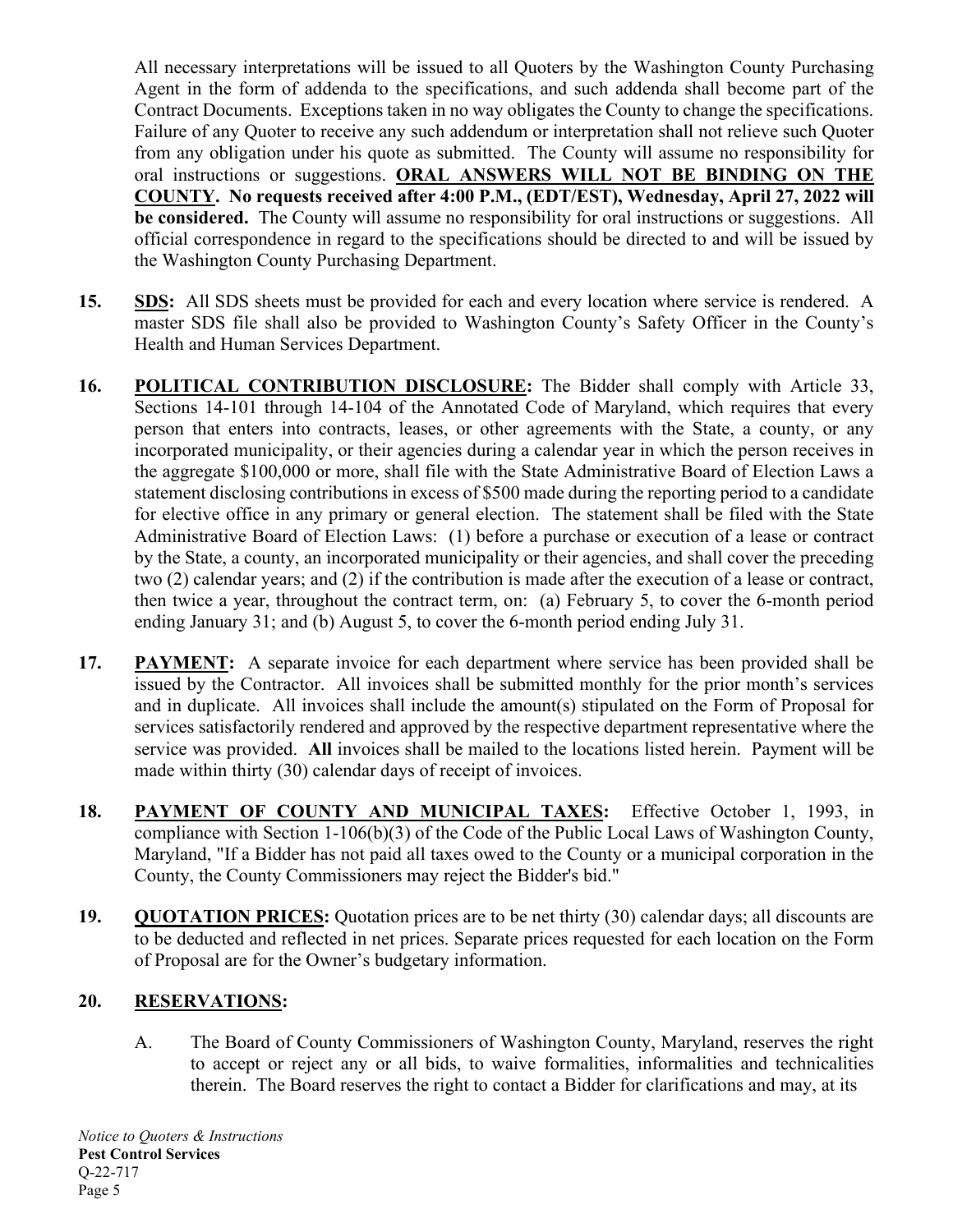All necessary interpretations will be issued to all Quoters by the Washington County Purchasing Agent in the form of addenda to the specifications, and such addenda shall become part of the Contract Documents. Exceptions taken in no way obligates the County to change the specifications. Failure of any Quoter to receive any such addendum or interpretation shall not relieve such Quoter from any obligation under his quote as submitted. The County will assume no responsibility for oral instructions or suggestions. **ORAL ANSWERS WILL NOT BE BINDING ON THE COUNTY. No requests received after 4:00 P.M., (EDT/EST), Wednesday, April 27, 2022 will be considered.** The County will assume no responsibility for oral instructions or suggestions. All official correspondence in regard to the specifications should be directed to and will be issued by the Washington County Purchasing Department.

- **15. SDS:** All SDS sheets must be provided for each and every location where service is rendered. A master SDS file shall also be provided to Washington County's Safety Officer in the County's Health and Human Services Department.
- **16. POLITICAL CONTRIBUTION DISCLOSURE:** The Bidder shall comply with Article 33, Sections 14-101 through 14-104 of the Annotated Code of Maryland, which requires that every person that enters into contracts, leases, or other agreements with the State, a county, or any incorporated municipality, or their agencies during a calendar year in which the person receives in the aggregate \$100,000 or more, shall file with the State Administrative Board of Election Laws a statement disclosing contributions in excess of \$500 made during the reporting period to a candidate for elective office in any primary or general election. The statement shall be filed with the State Administrative Board of Election Laws: (1) before a purchase or execution of a lease or contract by the State, a county, an incorporated municipality or their agencies, and shall cover the preceding two (2) calendar years; and (2) if the contribution is made after the execution of a lease or contract, then twice a year, throughout the contract term, on: (a) February 5, to cover the 6-month period ending January 31; and (b) August 5, to cover the 6-month period ending July 31.
- **17. PAYMENT:** A separate invoice for each department where service has been provided shall be issued by the Contractor. All invoices shall be submitted monthly for the prior month's services and in duplicate. All invoices shall include the amount(s) stipulated on the Form of Proposal for services satisfactorily rendered and approved by the respective department representative where the service was provided. **All** invoices shall be mailed to the locations listed herein. Payment will be made within thirty (30) calendar days of receipt of invoices.
- **18. PAYMENT OF COUNTY AND MUNICIPAL TAXES:** Effective October 1, 1993, in compliance with Section 1-106(b)(3) of the Code of the Public Local Laws of Washington County, Maryland, "If a Bidder has not paid all taxes owed to the County or a municipal corporation in the County, the County Commissioners may reject the Bidder's bid."
- **19. QUOTATION PRICES:** Quotation prices are to be net thirty (30) calendar days; all discounts are to be deducted and reflected in net prices. Separate prices requested for each location on the Form of Proposal are for the Owner's budgetary information.

# **20. RESERVATIONS:**

A. The Board of County Commissioners of Washington County, Maryland, reserves the right to accept or reject any or all bids, to waive formalities, informalities and technicalities therein. The Board reserves the right to contact a Bidder for clarifications and may, at its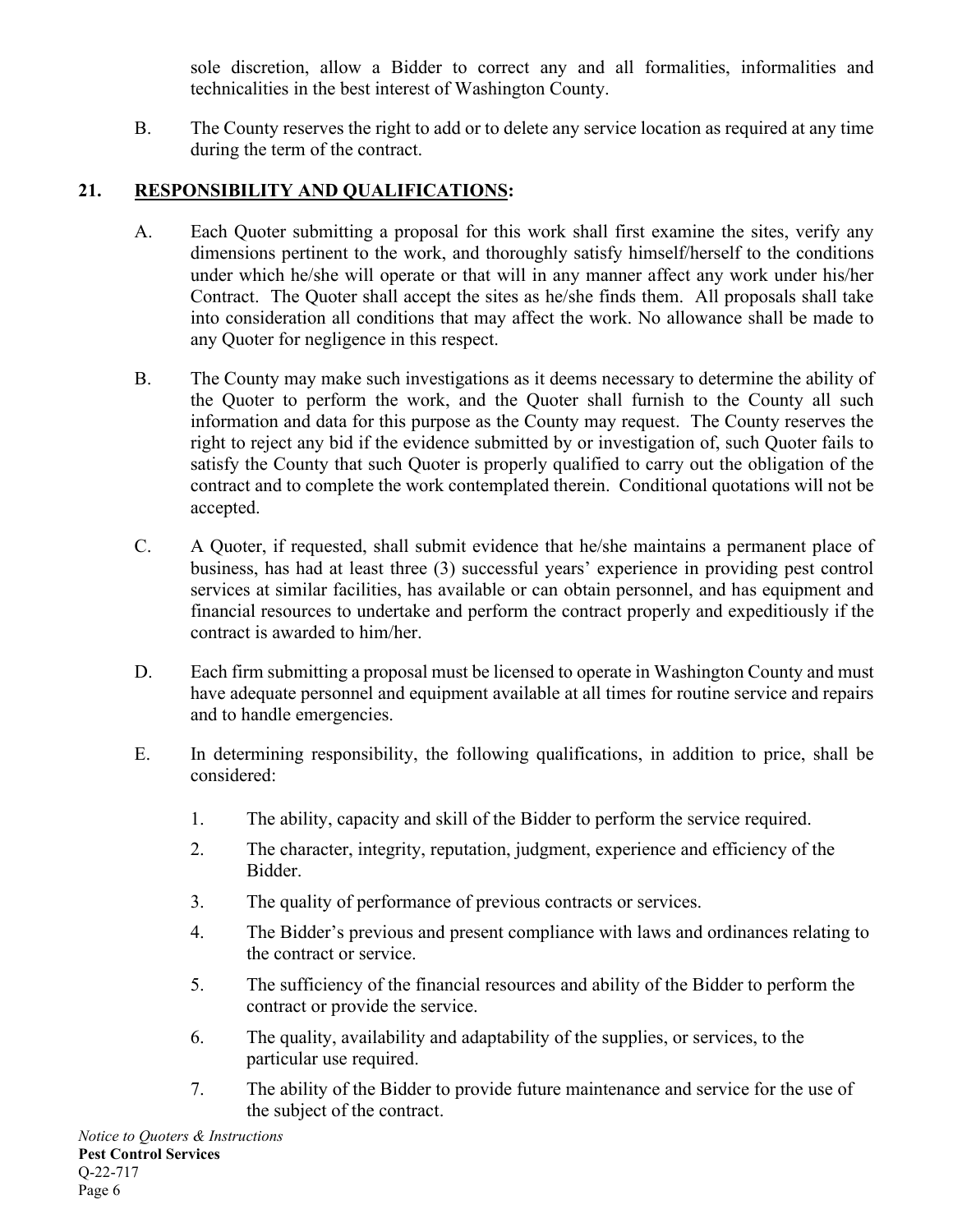sole discretion, allow a Bidder to correct any and all formalities, informalities and technicalities in the best interest of Washington County.

B. The County reserves the right to add or to delete any service location as required at any time during the term of the contract.

# **21. RESPONSIBILITY AND QUALIFICATIONS:**

- A. Each Quoter submitting a proposal for this work shall first examine the sites, verify any dimensions pertinent to the work, and thoroughly satisfy himself/herself to the conditions under which he/she will operate or that will in any manner affect any work under his/her Contract. The Quoter shall accept the sites as he/she finds them. All proposals shall take into consideration all conditions that may affect the work. No allowance shall be made to any Quoter for negligence in this respect.
- B. The County may make such investigations as it deems necessary to determine the ability of the Quoter to perform the work, and the Quoter shall furnish to the County all such information and data for this purpose as the County may request. The County reserves the right to reject any bid if the evidence submitted by or investigation of, such Quoter fails to satisfy the County that such Quoter is properly qualified to carry out the obligation of the contract and to complete the work contemplated therein. Conditional quotations will not be accepted.
- C. A Quoter, if requested, shall submit evidence that he/she maintains a permanent place of business, has had at least three (3) successful years' experience in providing pest control services at similar facilities, has available or can obtain personnel, and has equipment and financial resources to undertake and perform the contract properly and expeditiously if the contract is awarded to him/her.
- D. Each firm submitting a proposal must be licensed to operate in Washington County and must have adequate personnel and equipment available at all times for routine service and repairs and to handle emergencies.
- E. In determining responsibility, the following qualifications, in addition to price, shall be considered:
	- 1. The ability, capacity and skill of the Bidder to perform the service required.
	- 2. The character, integrity, reputation, judgment, experience and efficiency of the Bidder.
	- 3. The quality of performance of previous contracts or services.
	- 4. The Bidder's previous and present compliance with laws and ordinances relating to the contract or service.
	- 5. The sufficiency of the financial resources and ability of the Bidder to perform the contract or provide the service.
	- 6. The quality, availability and adaptability of the supplies, or services, to the particular use required.
	- 7. The ability of the Bidder to provide future maintenance and service for the use of the subject of the contract.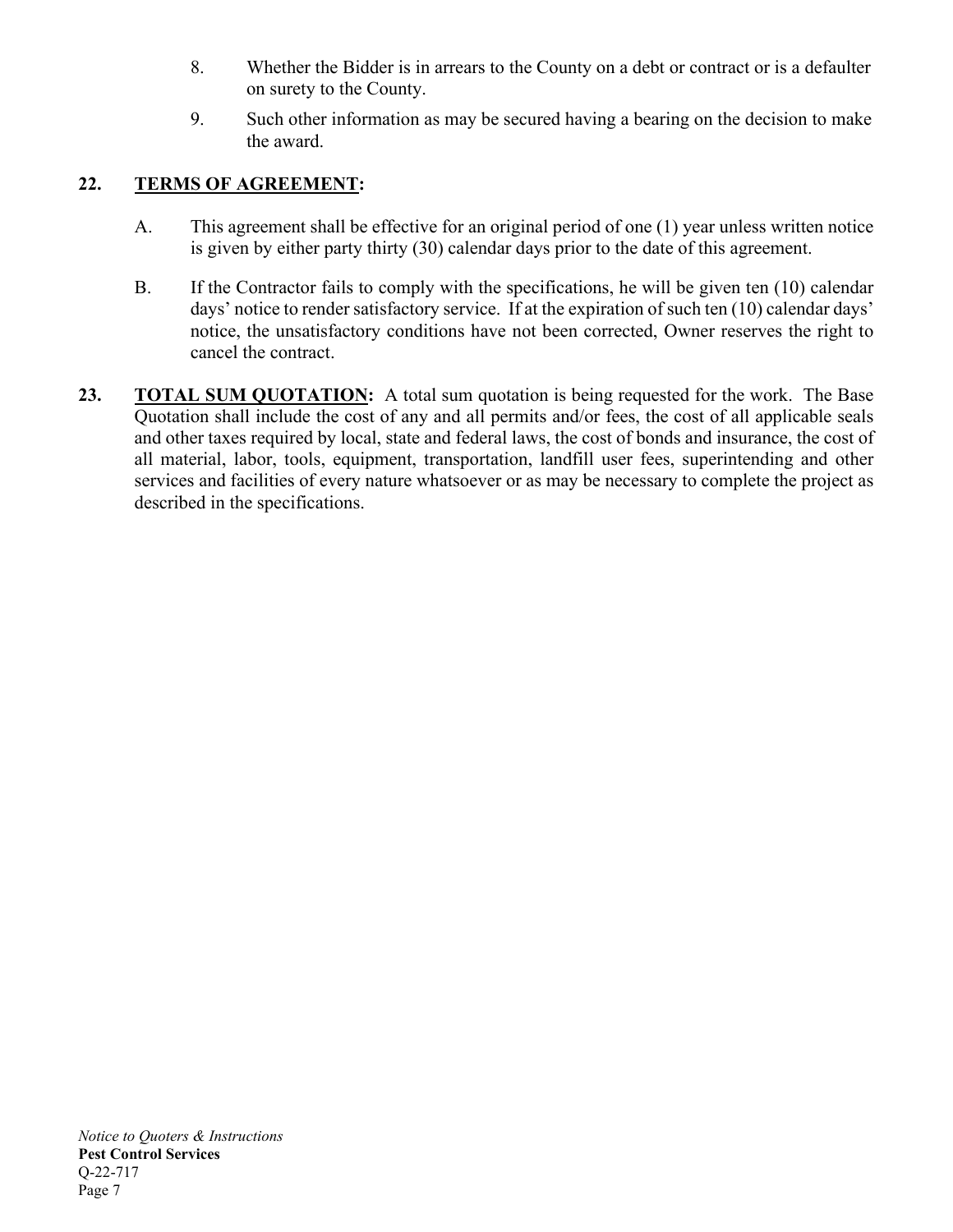- 8. Whether the Bidder is in arrears to the County on a debt or contract or is a defaulter on surety to the County.
- 9. Such other information as may be secured having a bearing on the decision to make the award.

# **22. TERMS OF AGREEMENT:**

- A. This agreement shall be effective for an original period of one (1) year unless written notice is given by either party thirty (30) calendar days prior to the date of this agreement.
- B. If the Contractor fails to comply with the specifications, he will be given ten (10) calendar days' notice to render satisfactory service. If at the expiration of such ten (10) calendar days' notice, the unsatisfactory conditions have not been corrected, Owner reserves the right to cancel the contract.
- **23. TOTAL SUM QUOTATION:** A total sum quotation is being requested for the work. The Base Quotation shall include the cost of any and all permits and/or fees, the cost of all applicable seals and other taxes required by local, state and federal laws, the cost of bonds and insurance, the cost of all material, labor, tools, equipment, transportation, landfill user fees, superintending and other services and facilities of every nature whatsoever or as may be necessary to complete the project as described in the specifications.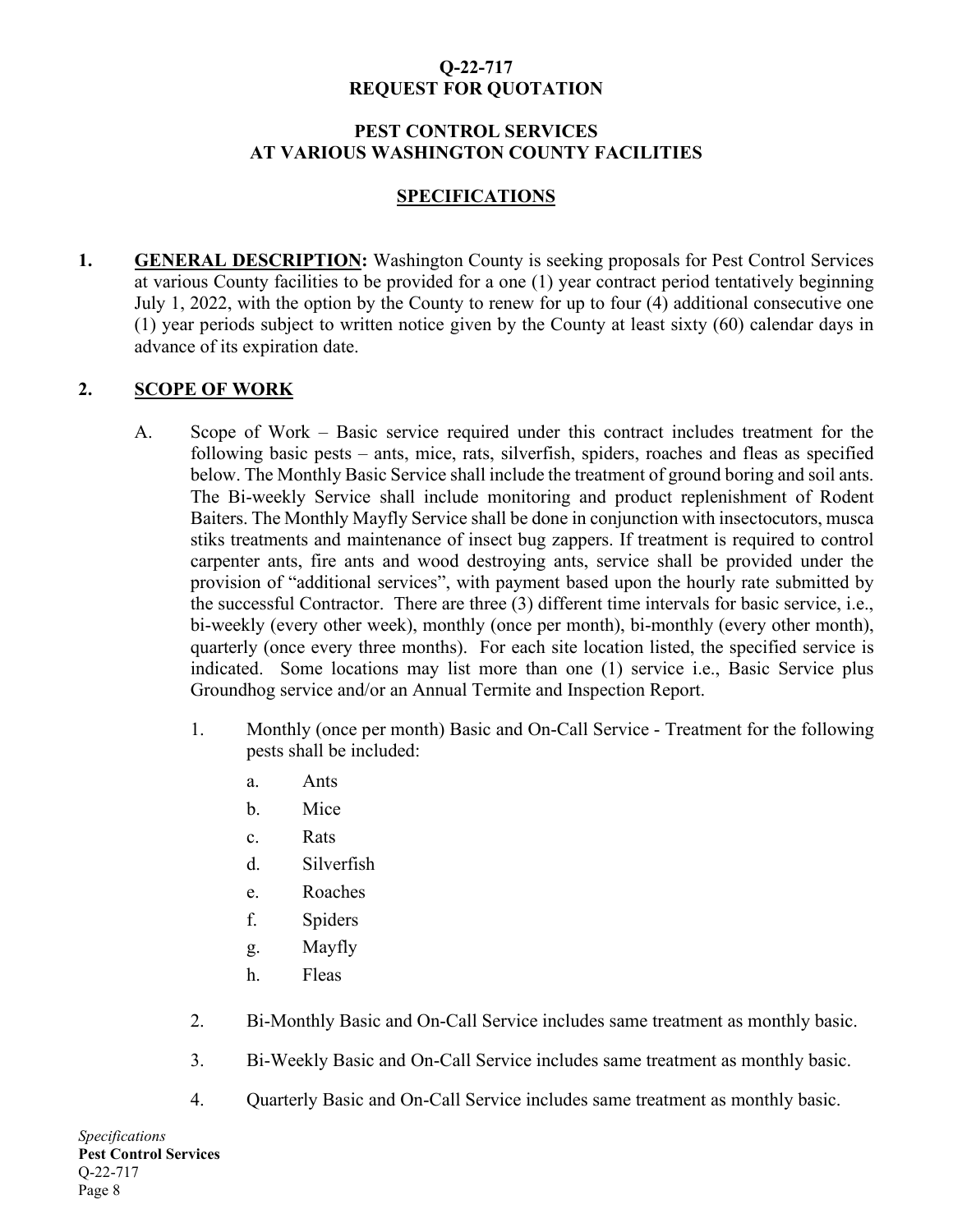# **Q-22-717 REQUEST FOR QUOTATION**

#### **PEST CONTROL SERVICES AT VARIOUS WASHINGTON COUNTY FACILITIES**

#### **SPECIFICATIONS**

**1. GENERAL DESCRIPTION:** Washington County is seeking proposals for Pest Control Services at various County facilities to be provided for a one (1) year contract period tentatively beginning July 1, 2022, with the option by the County to renew for up to four (4) additional consecutive one (1) year periods subject to written notice given by the County at least sixty (60) calendar days in advance of its expiration date.

#### **2. SCOPE OF WORK**

- A. Scope of Work Basic service required under this contract includes treatment for the following basic pests – ants, mice, rats, silverfish, spiders, roaches and fleas as specified below. The Monthly Basic Service shall include the treatment of ground boring and soil ants. The Bi-weekly Service shall include monitoring and product replenishment of Rodent Baiters. The Monthly Mayfly Service shall be done in conjunction with insectocutors, musca stiks treatments and maintenance of insect bug zappers. If treatment is required to control carpenter ants, fire ants and wood destroying ants, service shall be provided under the provision of "additional services", with payment based upon the hourly rate submitted by the successful Contractor. There are three (3) different time intervals for basic service, i.e., bi-weekly (every other week), monthly (once per month), bi-monthly (every other month), quarterly (once every three months). For each site location listed, the specified service is indicated. Some locations may list more than one (1) service i.e., Basic Service plus Groundhog service and/or an Annual Termite and Inspection Report.
	- 1. Monthly (once per month) Basic and On-Call Service Treatment for the following pests shall be included:
		- a. Ants
		- b. Mice
		- c. Rats
		- d. Silverfish
		- e. Roaches
		- f. Spiders
		- g. Mayfly
		- h. Fleas
	- 2. Bi-Monthly Basic and On-Call Service includes same treatment as monthly basic.
	- 3. Bi-Weekly Basic and On-Call Service includes same treatment as monthly basic.
	- 4. Quarterly Basic and On-Call Service includes same treatment as monthly basic.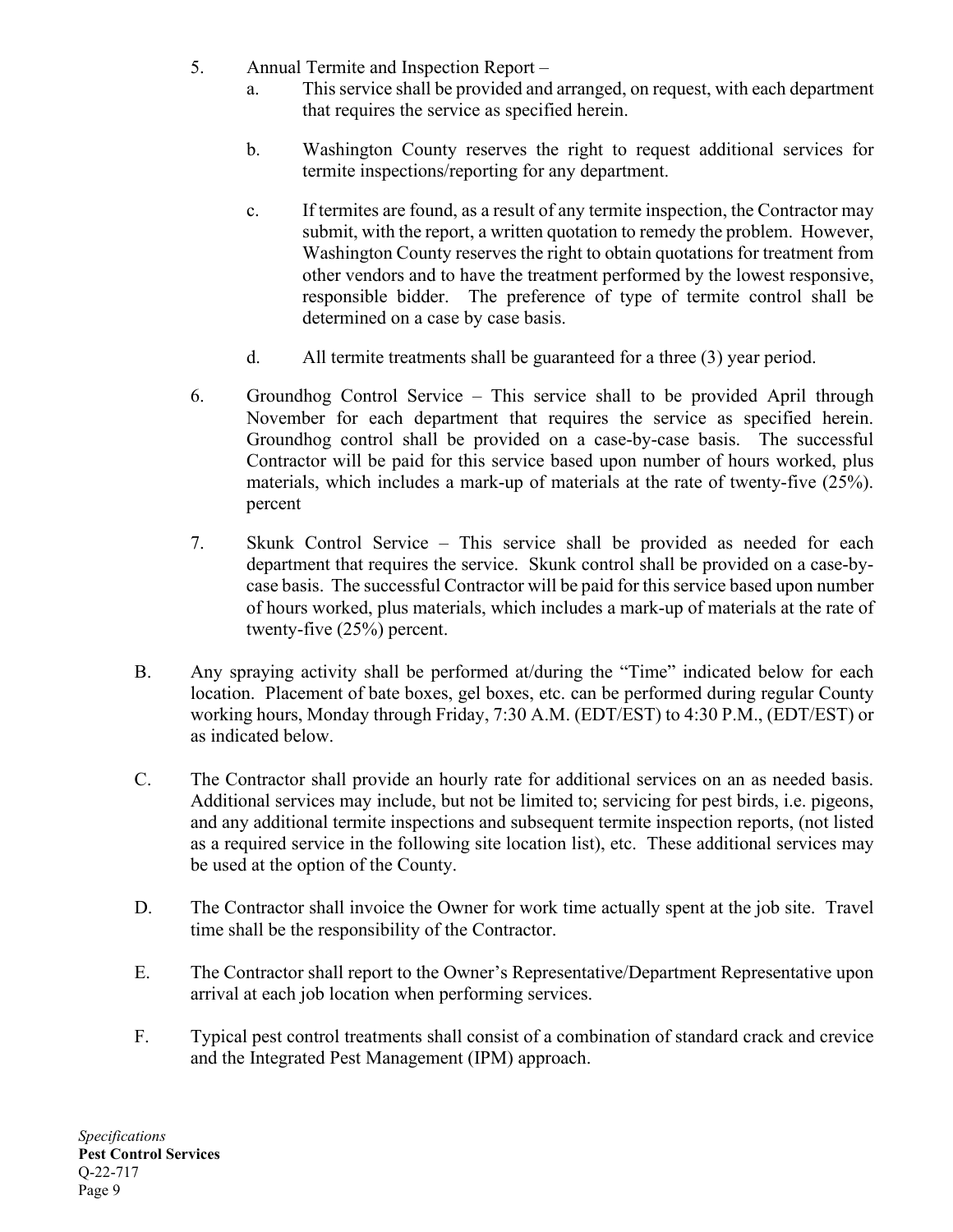- 5. Annual Termite and Inspection Report
	- a. This service shall be provided and arranged, on request, with each department that requires the service as specified herein.
	- b. Washington County reserves the right to request additional services for termite inspections/reporting for any department.
	- c. If termites are found, as a result of any termite inspection, the Contractor may submit, with the report, a written quotation to remedy the problem. However, Washington County reserves the right to obtain quotations for treatment from other vendors and to have the treatment performed by the lowest responsive, responsible bidder. The preference of type of termite control shall be determined on a case by case basis.
	- d. All termite treatments shall be guaranteed for a three (3) year period.
- 6. Groundhog Control Service This service shall to be provided April through November for each department that requires the service as specified herein. Groundhog control shall be provided on a case-by-case basis. The successful Contractor will be paid for this service based upon number of hours worked, plus materials, which includes a mark-up of materials at the rate of twenty-five (25%). percent
- 7. Skunk Control Service This service shall be provided as needed for each department that requires the service. Skunk control shall be provided on a case-bycase basis. The successful Contractor will be paid for this service based upon number of hours worked, plus materials, which includes a mark-up of materials at the rate of twenty-five (25%) percent.
- B. Any spraying activity shall be performed at/during the "Time" indicated below for each location. Placement of bate boxes, gel boxes, etc. can be performed during regular County working hours, Monday through Friday, 7:30 A.M. (EDT/EST) to 4:30 P.M., (EDT/EST) or as indicated below.
- C. The Contractor shall provide an hourly rate for additional services on an as needed basis. Additional services may include, but not be limited to; servicing for pest birds, i.e. pigeons, and any additional termite inspections and subsequent termite inspection reports, (not listed as a required service in the following site location list), etc. These additional services may be used at the option of the County.
- D. The Contractor shall invoice the Owner for work time actually spent at the job site. Travel time shall be the responsibility of the Contractor.
- E. The Contractor shall report to the Owner's Representative/Department Representative upon arrival at each job location when performing services.
- F. Typical pest control treatments shall consist of a combination of standard crack and crevice and the Integrated Pest Management (IPM) approach.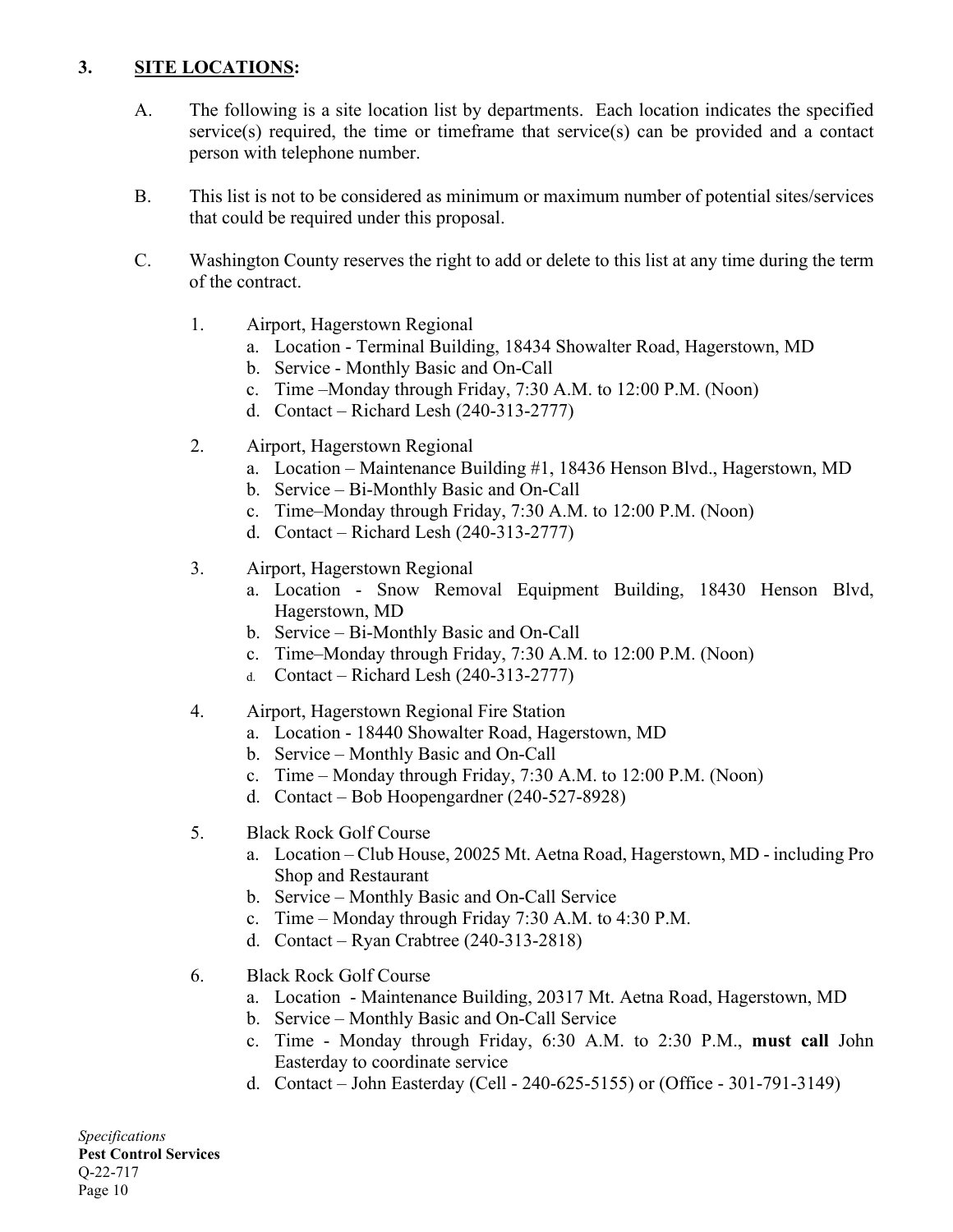# **3. SITE LOCATIONS:**

- A. The following is a site location list by departments. Each location indicates the specified service(s) required, the time or timeframe that service(s) can be provided and a contact person with telephone number.
- B. This list is not to be considered as minimum or maximum number of potential sites/services that could be required under this proposal.
- C. Washington County reserves the right to add or delete to this list at any time during the term of the contract.
	- 1. Airport, Hagerstown Regional
		- a. Location Terminal Building, 18434 Showalter Road, Hagerstown, MD
		- b. Service Monthly Basic and On-Call
		- c. Time –Monday through Friday, 7:30 A.M. to 12:00 P.M. (Noon)
		- d. Contact Richard Lesh (240-313-2777)
	- 2. Airport, Hagerstown Regional
		- a. Location Maintenance Building #1, 18436 Henson Blvd., Hagerstown, MD
		- b. Service Bi-Monthly Basic and On-Call
		- c. Time–Monday through Friday, 7:30 A.M. to 12:00 P.M. (Noon)
		- d. Contact Richard Lesh (240-313-2777)
	- 3. Airport, Hagerstown Regional
		- a. Location Snow Removal Equipment Building, 18430 Henson Blvd, Hagerstown, MD
		- b. Service Bi-Monthly Basic and On-Call
		- c. Time–Monday through Friday, 7:30 A.M. to 12:00 P.M. (Noon)
		- d. Contact Richard Lesh (240-313-2777)

#### 4. Airport, Hagerstown Regional Fire Station

- a. Location 18440 Showalter Road, Hagerstown, MD
- b. Service Monthly Basic and On-Call
- c. Time Monday through Friday, 7:30 A.M. to 12:00 P.M. (Noon)
- d. Contact Bob Hoopengardner (240-527-8928)
- 5. Black Rock Golf Course
	- a. Location Club House, 20025 Mt. Aetna Road, Hagerstown, MD including Pro Shop and Restaurant
	- b. Service Monthly Basic and On-Call Service
	- c. Time Monday through Friday 7:30 A.M. to 4:30 P.M.
	- d. Contact Ryan Crabtree (240-313-2818)
- 6. Black Rock Golf Course
	- a. Location Maintenance Building, 20317 Mt. Aetna Road, Hagerstown, MD
	- b. Service Monthly Basic and On-Call Service
	- c. Time Monday through Friday, 6:30 A.M. to 2:30 P.M., **must call** John Easterday to coordinate service
	- d. Contact John Easterday (Cell 240-625-5155) or (Office 301-791-3149)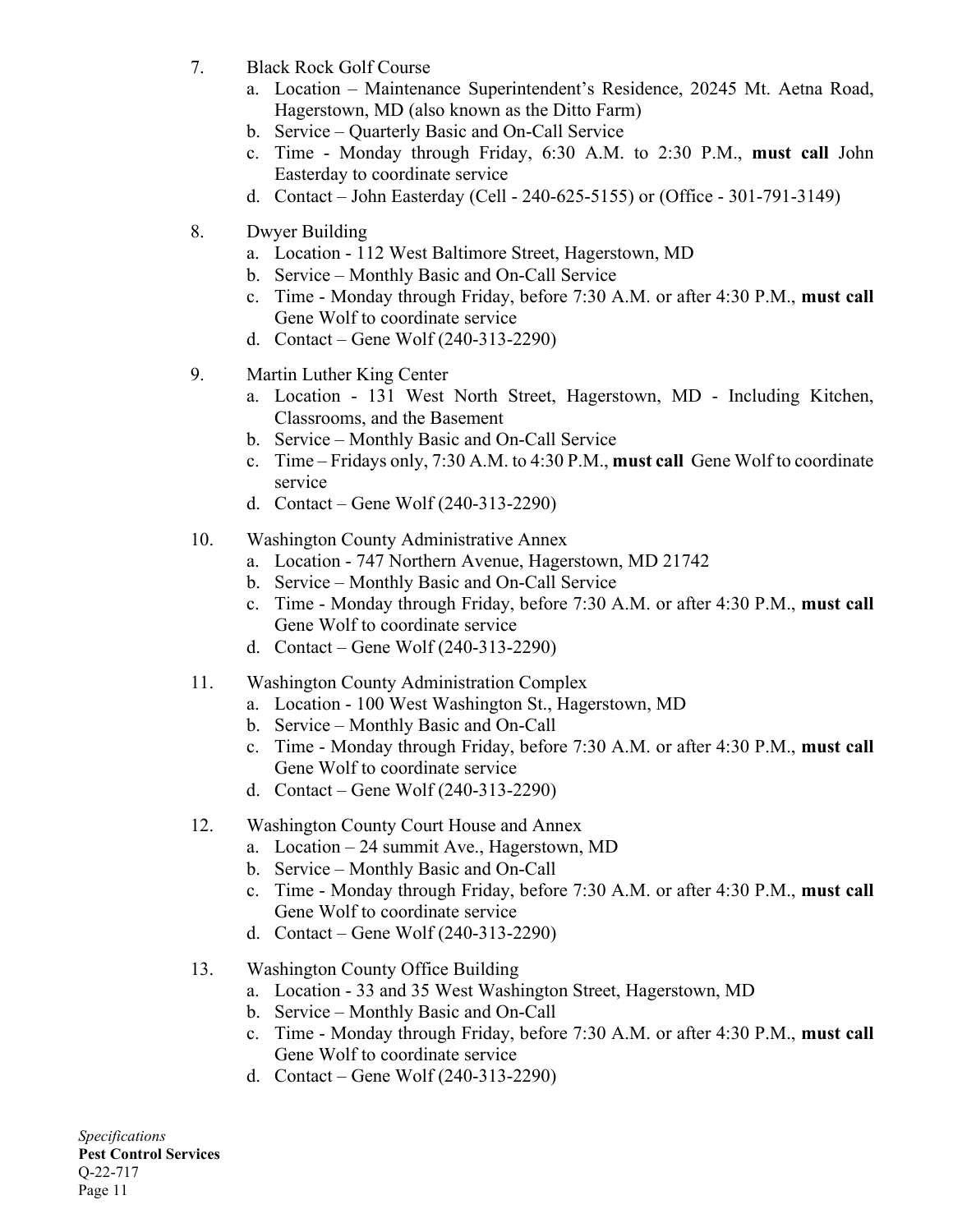- 7. Black Rock Golf Course
	- a. Location Maintenance Superintendent's Residence, 20245 Mt. Aetna Road, Hagerstown, MD (also known as the Ditto Farm)
	- b. Service Quarterly Basic and On-Call Service
	- c. Time Monday through Friday, 6:30 A.M. to 2:30 P.M., **must call** John Easterday to coordinate service
	- d. Contact John Easterday (Cell 240-625-5155) or (Office 301-791-3149)
- 8. Dwyer Building
	- a. Location 112 West Baltimore Street, Hagerstown, MD
	- b. Service Monthly Basic and On-Call Service
	- c. Time Monday through Friday, before 7:30 A.M. or after 4:30 P.M., **must call**  Gene Wolf to coordinate service
	- d. Contact Gene Wolf (240-313-2290)
- 9. Martin Luther King Center
	- a. Location 131 West North Street, Hagerstown, MD Including Kitchen, Classrooms, and the Basement
	- b. Service Monthly Basic and On-Call Service
	- c. Time Fridays only, 7:30 A.M. to 4:30 P.M., **must call** Gene Wolf to coordinate service
	- d. Contact Gene Wolf (240-313-2290)
- 10. Washington County Administrative Annex
	- a. Location 747 Northern Avenue, Hagerstown, MD 21742
	- b. Service Monthly Basic and On-Call Service
	- c. Time Monday through Friday, before 7:30 A.M. or after 4:30 P.M., **must call**  Gene Wolf to coordinate service
	- d. Contact Gene Wolf (240-313-2290)
- 11. Washington County Administration Complex
	- a. Location 100 West Washington St., Hagerstown, MD
	- b. Service Monthly Basic and On-Call
	- c. Time Monday through Friday, before 7:30 A.M. or after 4:30 P.M., **must call**  Gene Wolf to coordinate service
	- d. Contact Gene Wolf (240-313-2290)
- 12. Washington County Court House and Annex
	- a. Location 24 summit Ave., Hagerstown, MD
	- b. Service Monthly Basic and On-Call
	- c. Time Monday through Friday, before 7:30 A.M. or after 4:30 P.M., **must call**  Gene Wolf to coordinate service
	- d. Contact Gene Wolf (240-313-2290)
- 13. Washington County Office Building
	- a. Location 33 and 35 West Washington Street, Hagerstown, MD
	- b. Service Monthly Basic and On-Call
	- c. Time Monday through Friday, before 7:30 A.M. or after 4:30 P.M., **must call**  Gene Wolf to coordinate service
	- d. Contact Gene Wolf (240-313-2290)

*Specifications* **Pest Control Services** Q-22-717 Page 11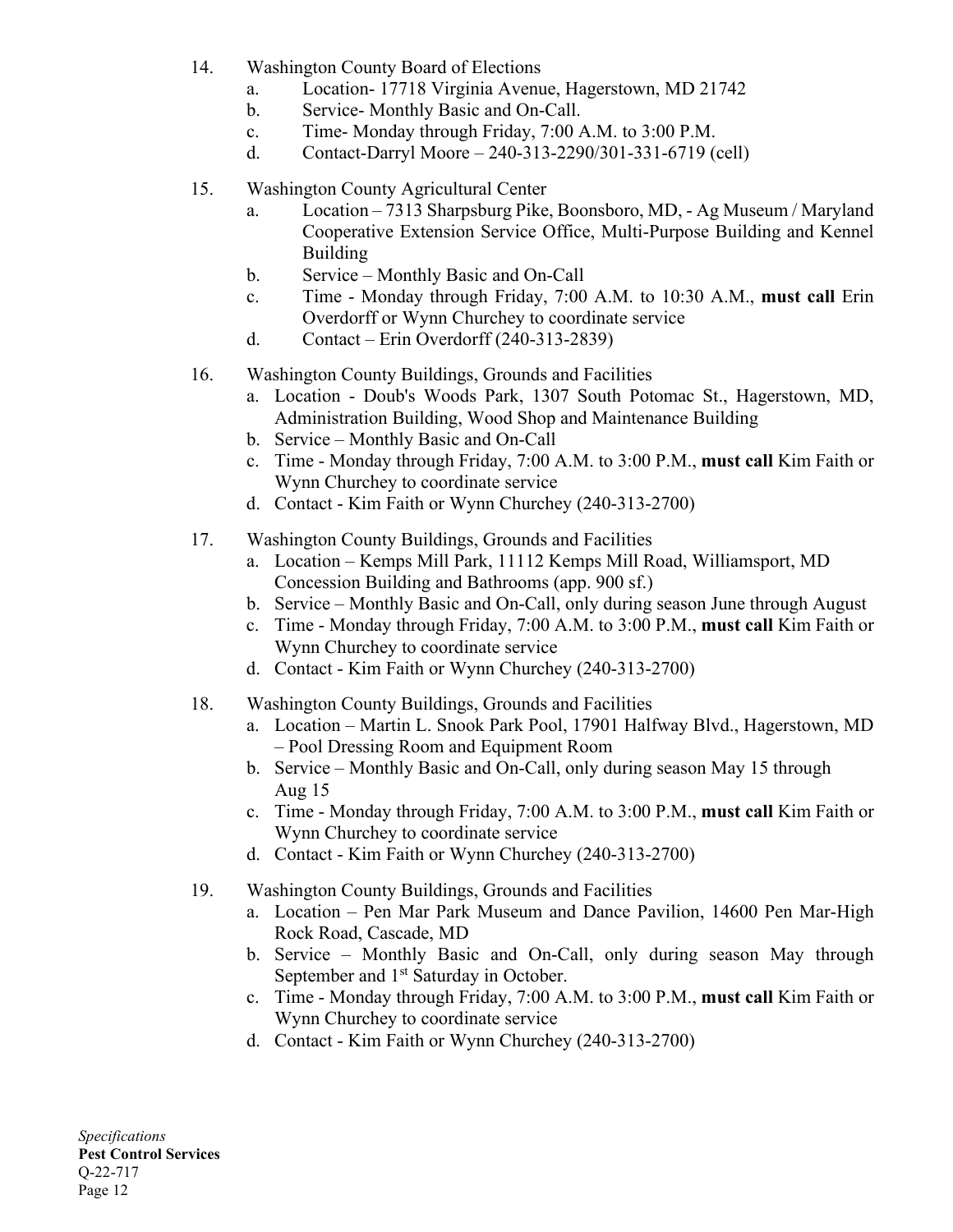- 14. Washington County Board of Elections
	- a. Location- 17718 Virginia Avenue, Hagerstown, MD 21742
	- b. Service- Monthly Basic and On-Call.
	- c. Time- Monday through Friday, 7:00 A.M. to 3:00 P.M.
	- d. Contact-Darryl Moore 240-313-2290/301-331-6719 (cell)
- 15. Washington County Agricultural Center
	- a. Location 7313 Sharpsburg Pike, Boonsboro, MD, Ag Museum / Maryland Cooperative Extension Service Office, Multi-Purpose Building and Kennel Building
	- b. Service Monthly Basic and On-Call
	- c. Time Monday through Friday, 7:00 A.M. to 10:30 A.M., **must call** Erin Overdorff or Wynn Churchey to coordinate service
	- d. Contact Erin Overdorff (240-313-2839)
- 16. Washington County Buildings, Grounds and Facilities
	- a. Location Doub's Woods Park, 1307 South Potomac St., Hagerstown, MD, Administration Building, Wood Shop and Maintenance Building
	- b. Service Monthly Basic and On-Call
	- c. Time Monday through Friday, 7:00 A.M. to 3:00 P.M., **must call** Kim Faith or Wynn Churchey to coordinate service
	- d. Contact Kim Faith or Wynn Churchey (240-313-2700)
- 17. Washington County Buildings, Grounds and Facilities
	- a. Location Kemps Mill Park, 11112 Kemps Mill Road, Williamsport, MD Concession Building and Bathrooms (app. 900 sf.)
	- b. Service Monthly Basic and On-Call, only during season June through August
	- c. Time Monday through Friday, 7:00 A.M. to 3:00 P.M., **must call** Kim Faith or Wynn Churchey to coordinate service
	- d. Contact Kim Faith or Wynn Churchey (240-313-2700)
- 18. Washington County Buildings, Grounds and Facilities
	- a. Location Martin L. Snook Park Pool, 17901 Halfway Blvd., Hagerstown, MD – Pool Dressing Room and Equipment Room
	- b. Service Monthly Basic and On-Call, only during season May 15 through Aug 15
	- c. Time Monday through Friday, 7:00 A.M. to 3:00 P.M., **must call** Kim Faith or Wynn Churchey to coordinate service
	- d. Contact Kim Faith or Wynn Churchey (240-313-2700)
- 19. Washington County Buildings, Grounds and Facilities
	- a. Location Pen Mar Park Museum and Dance Pavilion, 14600 Pen Mar-High Rock Road, Cascade, MD
	- b. Service Monthly Basic and On-Call, only during season May through September and 1<sup>st</sup> Saturday in October.
	- c. Time Monday through Friday, 7:00 A.M. to 3:00 P.M., **must call** Kim Faith or Wynn Churchey to coordinate service
	- d. Contact Kim Faith or Wynn Churchey (240-313-2700)

*Specifications* **Pest Control Services** Q-22-717 Page 12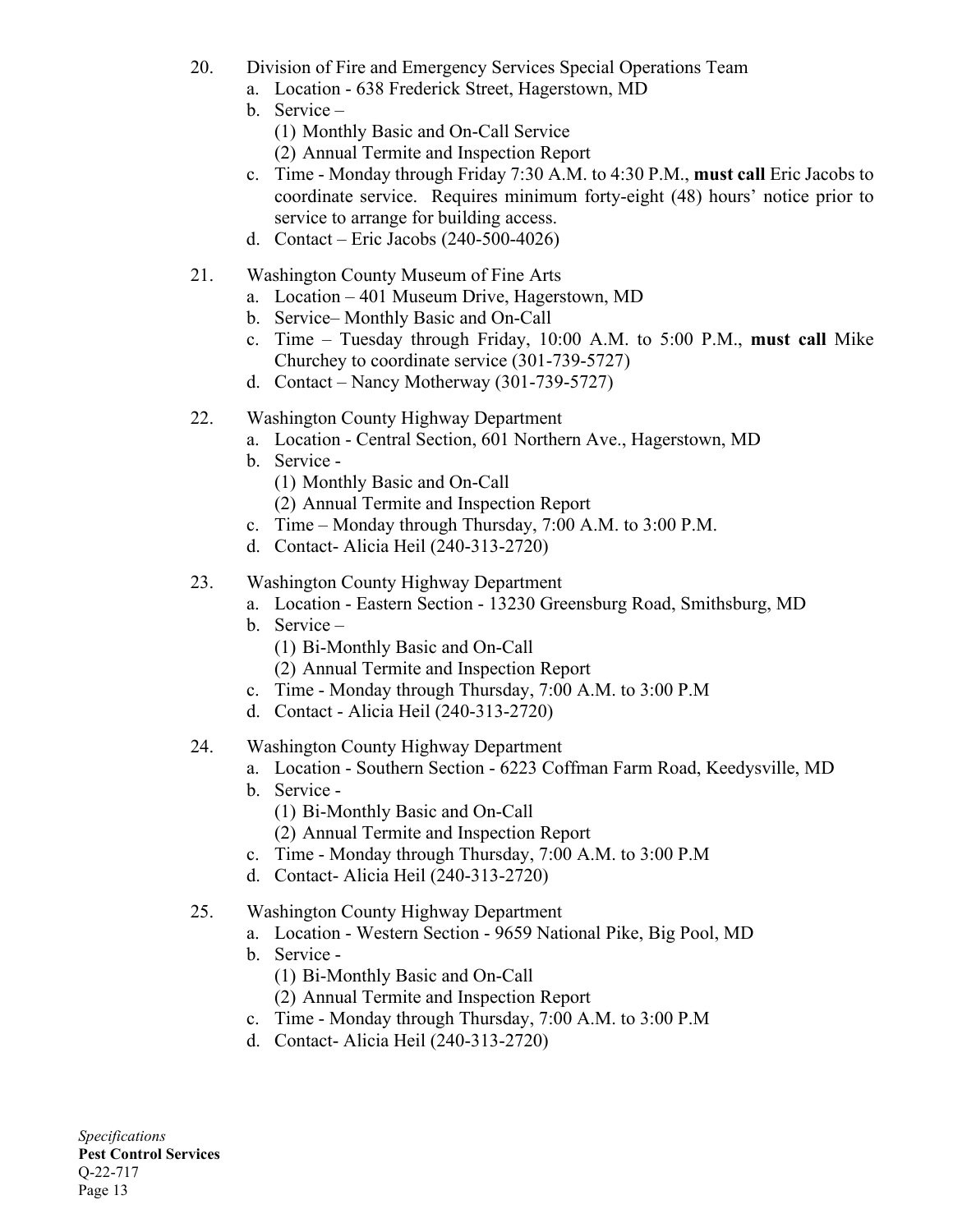- 20. Division of Fire and Emergency Services Special Operations Team
	- a. Location 638 Frederick Street, Hagerstown, MD
	- b. Service
		- (1) Monthly Basic and On-Call Service
		- (2) Annual Termite and Inspection Report
	- c. Time Monday through Friday 7:30 A.M. to 4:30 P.M., **must call** Eric Jacobs to coordinate service. Requires minimum forty-eight (48) hours' notice prior to service to arrange for building access.
	- d. Contact Eric Jacobs (240-500-4026)
- 21. Washington County Museum of Fine Arts
	- a. Location 401 Museum Drive, Hagerstown, MD
	- b. Service– Monthly Basic and On-Call
	- c. Time Tuesday through Friday, 10:00 A.M. to 5:00 P.M., **must call** Mike Churchey to coordinate service (301-739-5727)
	- d. Contact Nancy Motherway (301-739-5727)
- 22. Washington County Highway Department
	- a. Location Central Section, 601 Northern Ave., Hagerstown, MD
	- b. Service
		- (1) Monthly Basic and On-Call
		- (2) Annual Termite and Inspection Report
	- c. Time Monday through Thursday, 7:00 A.M. to 3:00 P.M.
	- d. Contact- Alicia Heil (240-313-2720)
- 23. Washington County Highway Department
	- a. Location Eastern Section 13230 Greensburg Road, Smithsburg, MD
	- b. Service
		- (1) Bi-Monthly Basic and On-Call
		- (2) Annual Termite and Inspection Report
	- c. Time Monday through Thursday, 7:00 A.M. to 3:00 P.M
	- d. Contact Alicia Heil (240-313-2720)

#### 24. Washington County Highway Department

- a. Location Southern Section 6223 Coffman Farm Road, Keedysville, MD
- b. Service
	- (1) Bi-Monthly Basic and On-Call
	- (2) Annual Termite and Inspection Report
- c. Time Monday through Thursday, 7:00 A.M. to 3:00 P.M
- d. Contact- Alicia Heil (240-313-2720)

#### 25. Washington County Highway Department

- a. Location Western Section 9659 National Pike, Big Pool, MD
- b. Service
	- (1) Bi-Monthly Basic and On-Call
	- (2) Annual Termite and Inspection Report
- c. Time Monday through Thursday, 7:00 A.M. to 3:00 P.M
- d. Contact- Alicia Heil (240-313-2720)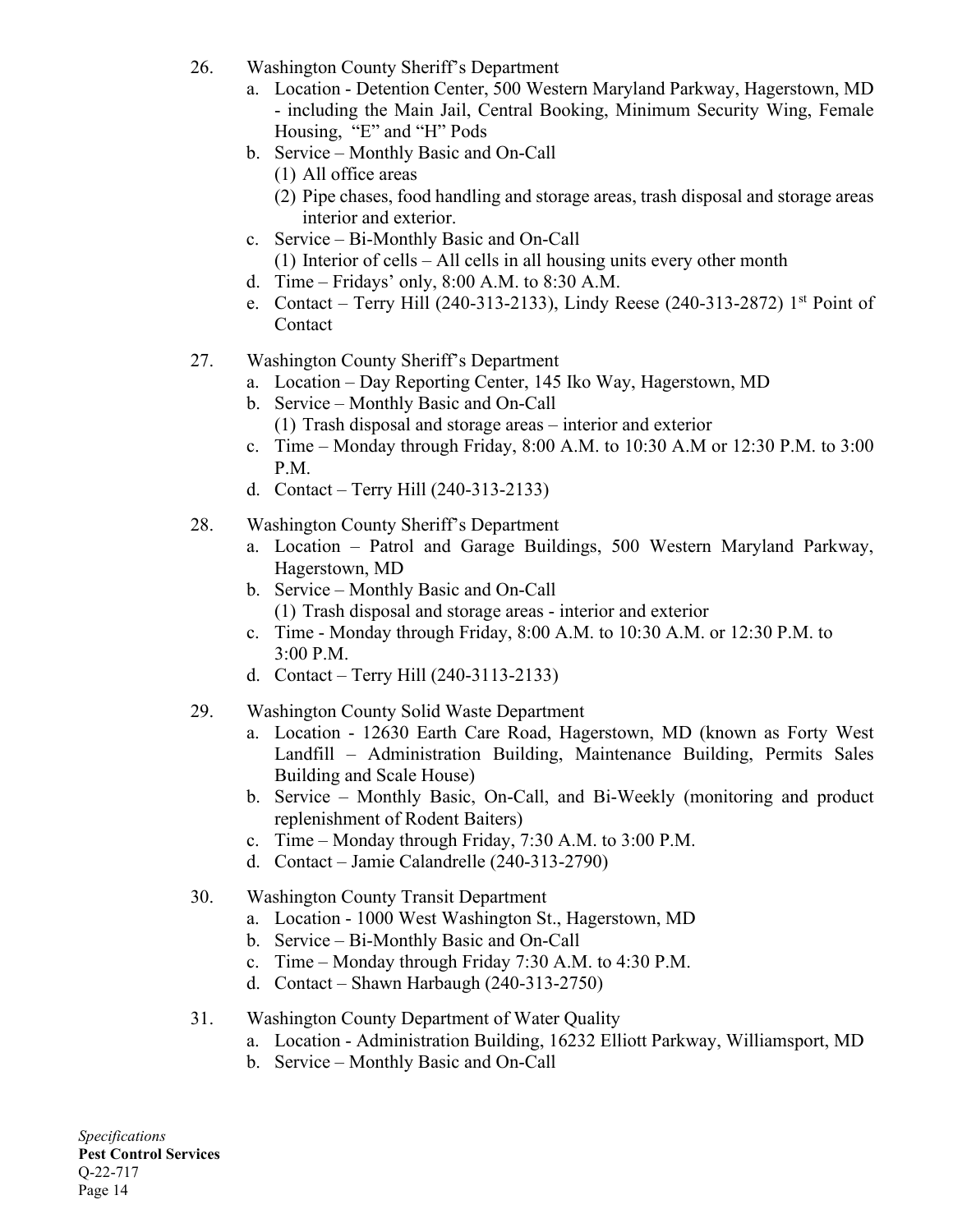- 26. Washington County Sheriff's Department
	- a. Location Detention Center, 500 Western Maryland Parkway, Hagerstown, MD - including the Main Jail, Central Booking, Minimum Security Wing, Female Housing, "E" and "H" Pods
	- b. Service Monthly Basic and On-Call
		- (1) All office areas
		- (2) Pipe chases, food handling and storage areas, trash disposal and storage areas interior and exterior.
	- c. Service Bi-Monthly Basic and On-Call (1) Interior of cells – All cells in all housing units every other month
	- d. Time Fridays' only, 8:00 A.M. to 8:30 A.M.
	- e. Contact Terry Hill (240-313-2133), Lindy Reese (240-313-2872) 1st Point of Contact
- 27. Washington County Sheriff's Department
	- a. Location Day Reporting Center, 145 Iko Way, Hagerstown, MD
	- b. Service Monthly Basic and On-Call
		- (1) Trash disposal and storage areas interior and exterior
	- c. Time Monday through Friday, 8:00 A.M. to 10:30 A.M or 12:30 P.M. to 3:00 P.M.
	- d. Contact Terry Hill (240-313-2133)
- 28. Washington County Sheriff's Department
	- a. Location Patrol and Garage Buildings, 500 Western Maryland Parkway, Hagerstown, MD
	- b. Service Monthly Basic and On-Call (1) Trash disposal and storage areas - interior and exterior
	- c. Time Monday through Friday, 8:00 A.M. to 10:30 A.M. or 12:30 P.M. to 3:00 P.M.
	- d. Contact Terry Hill (240-3113-2133)
- 29. Washington County Solid Waste Department
	- a. Location 12630 Earth Care Road, Hagerstown, MD (known as Forty West Landfill – Administration Building, Maintenance Building, Permits Sales Building and Scale House)
	- b. Service Monthly Basic, On-Call, and Bi-Weekly (monitoring and product replenishment of Rodent Baiters)
	- c. Time Monday through Friday, 7:30 A.M. to 3:00 P.M.
	- d. Contact Jamie Calandrelle (240-313-2790)
- 30. Washington County Transit Department
	- a. Location 1000 West Washington St., Hagerstown, MD
		- b. Service Bi-Monthly Basic and On-Call
		- c. Time Monday through Friday 7:30 A.M. to 4:30 P.M.
		- d. Contact Shawn Harbaugh (240-313-2750)

## 31. Washington County Department of Water Quality

- a. Location Administration Building, 16232 Elliott Parkway, Williamsport, MD
- b. Service Monthly Basic and On-Call

*Specifications* **Pest Control Services** Q-22-717 Page 14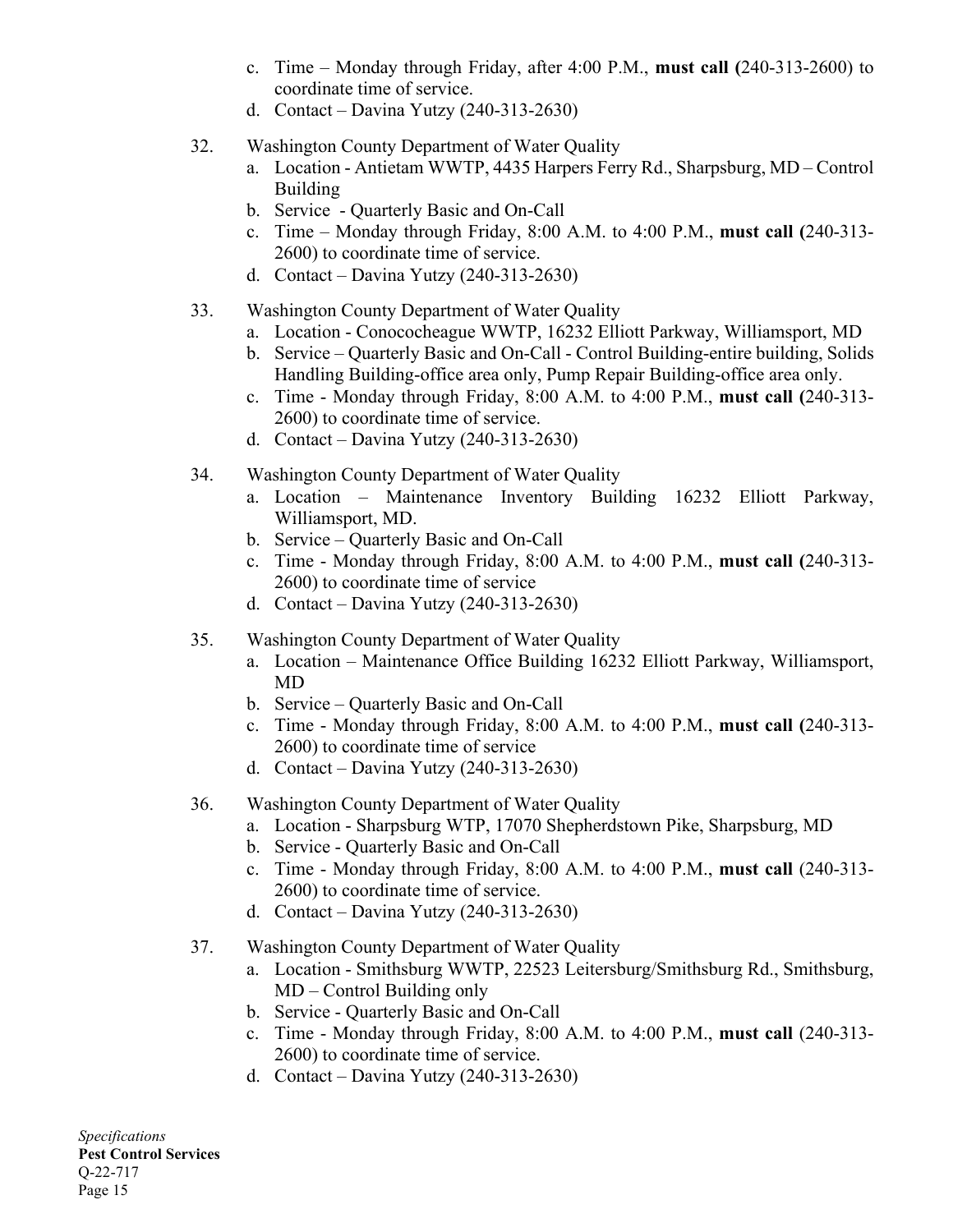- c. Time Monday through Friday, after 4:00 P.M., **must call (**240-313-2600) to coordinate time of service.
- d. Contact Davina Yutzy (240-313-2630)
- 32. Washington County Department of Water Quality
	- a. Location Antietam WWTP, 4435 Harpers Ferry Rd., Sharpsburg, MD Control Building
	- b. Service Quarterly Basic and On-Call
	- c. Time Monday through Friday, 8:00 A.M. to 4:00 P.M., **must call (**240-313- 2600) to coordinate time of service.
	- d. Contact Davina Yutzy (240-313-2630)
- 33. Washington County Department of Water Quality
	- a. Location Conococheague WWTP, 16232 Elliott Parkway, Williamsport, MD
	- b. Service Quarterly Basic and On-Call Control Building-entire building, Solids Handling Building-office area only, Pump Repair Building-office area only.
	- c. Time Monday through Friday, 8:00 A.M. to 4:00 P.M., **must call (**240-313- 2600) to coordinate time of service.
	- d. Contact Davina Yutzy (240-313-2630)
- 34. Washington County Department of Water Quality
	- a. Location Maintenance Inventory Building 16232 Elliott Parkway, Williamsport, MD.
	- b. Service Quarterly Basic and On-Call
	- c. Time Monday through Friday, 8:00 A.M. to 4:00 P.M., **must call (**240-313- 2600) to coordinate time of service
	- d. Contact Davina Yutzy (240-313-2630)
- 35. Washington County Department of Water Quality
	- a. Location Maintenance Office Building 16232 Elliott Parkway, Williamsport, MD
	- b. Service Quarterly Basic and On-Call
	- c. Time Monday through Friday, 8:00 A.M. to 4:00 P.M., **must call (**240-313- 2600) to coordinate time of service
	- d. Contact Davina Yutzy (240-313-2630)
- 36. Washington County Department of Water Quality
	- a. Location Sharpsburg WTP, 17070 Shepherdstown Pike, Sharpsburg, MD
	- b. Service Quarterly Basic and On-Call
	- c. Time Monday through Friday, 8:00 A.M. to 4:00 P.M., **must call** (240-313- 2600) to coordinate time of service.
	- d. Contact Davina Yutzy (240-313-2630)
- 37. Washington County Department of Water Quality
	- a. Location Smithsburg WWTP, 22523 Leitersburg/Smithsburg Rd., Smithsburg, MD – Control Building only
	- b. Service Quarterly Basic and On-Call
	- c. Time Monday through Friday, 8:00 A.M. to 4:00 P.M., **must call** (240-313- 2600) to coordinate time of service.
	- d. Contact Davina Yutzy (240-313-2630)

*Specifications* **Pest Control Services** Q-22-717 Page 15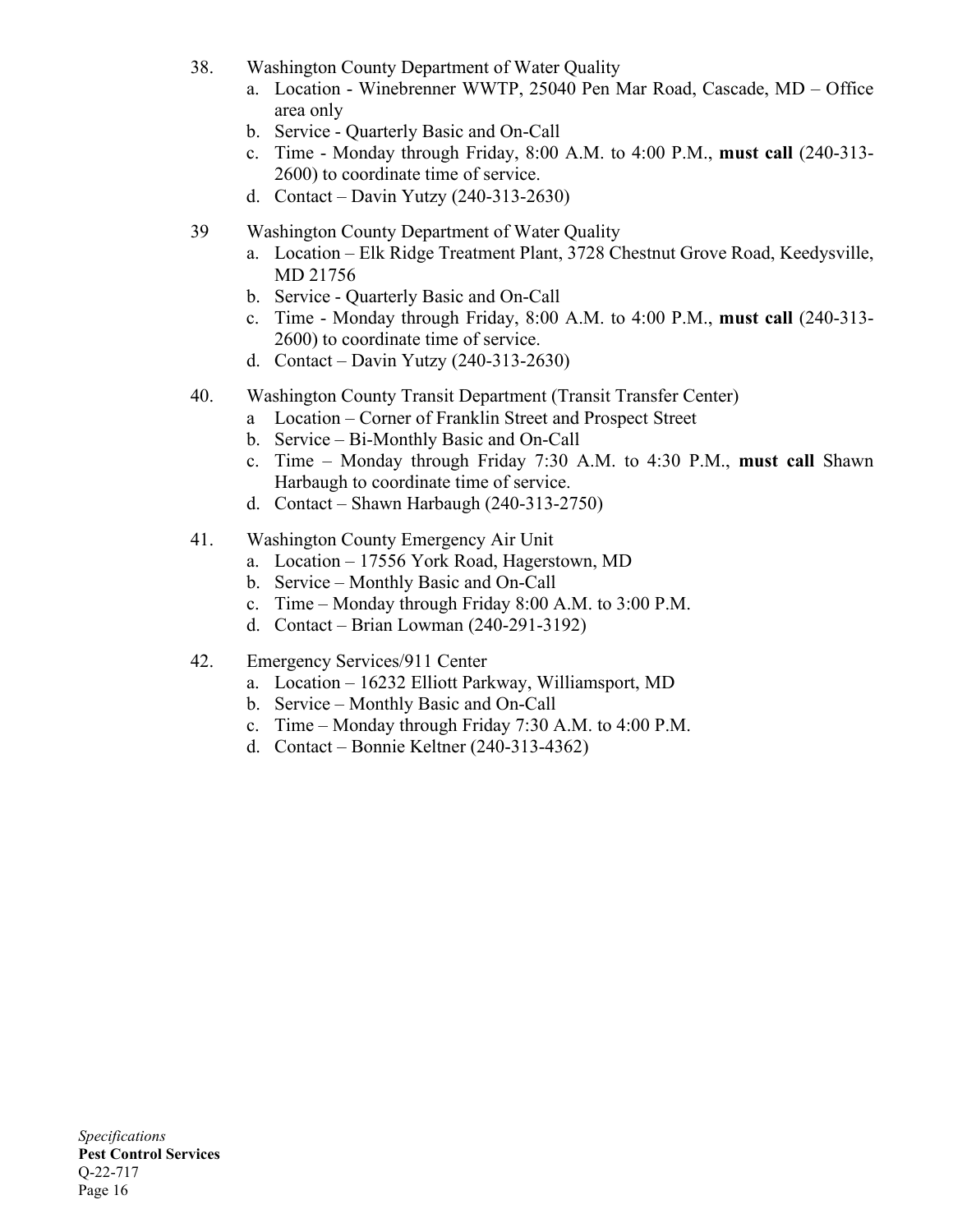- 38. Washington County Department of Water Quality
	- a. Location Winebrenner WWTP, 25040 Pen Mar Road, Cascade, MD Office area only
	- b. Service Quarterly Basic and On-Call
	- c. Time Monday through Friday, 8:00 A.M. to 4:00 P.M., **must call** (240-313- 2600) to coordinate time of service.
	- d. Contact Davin Yutzy (240-313-2630)
- 39 Washington County Department of Water Quality
	- a. Location Elk Ridge Treatment Plant, 3728 Chestnut Grove Road, Keedysville, MD 21756
	- b. Service Quarterly Basic and On-Call
	- c. Time Monday through Friday, 8:00 A.M. to 4:00 P.M., **must call** (240-313- 2600) to coordinate time of service.
	- d. Contact Davin Yutzy (240-313-2630)
- 40. Washington County Transit Department (Transit Transfer Center)
	- a Location Corner of Franklin Street and Prospect Street
	- b. Service Bi-Monthly Basic and On-Call
	- c. Time Monday through Friday 7:30 A.M. to 4:30 P.M., **must call** Shawn Harbaugh to coordinate time of service.
	- d. Contact Shawn Harbaugh (240-313-2750)
- 41. Washington County Emergency Air Unit
	- a. Location 17556 York Road, Hagerstown, MD
	- b. Service Monthly Basic and On-Call
	- c. Time Monday through Friday 8:00 A.M. to 3:00 P.M.
	- d. Contact Brian Lowman (240-291-3192)
- 42. Emergency Services/911 Center
	- a. Location 16232 Elliott Parkway, Williamsport, MD
	- b. Service Monthly Basic and On-Call
	- c. Time Monday through Friday 7:30 A.M. to 4:00 P.M.
	- d. Contact Bonnie Keltner (240-313-4362)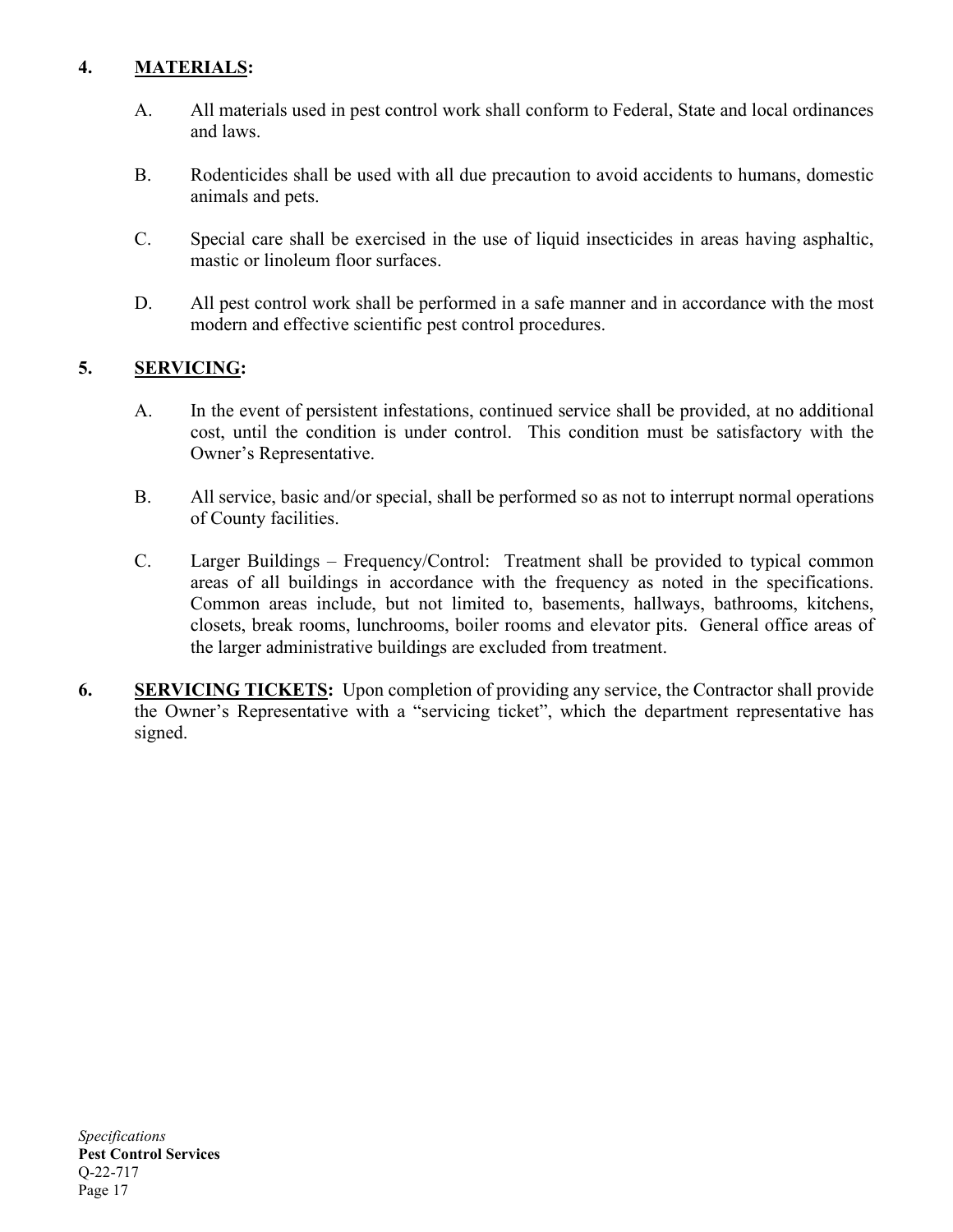# **4. MATERIALS:**

- A. All materials used in pest control work shall conform to Federal, State and local ordinances and laws.
- B. Rodenticides shall be used with all due precaution to avoid accidents to humans, domestic animals and pets.
- C. Special care shall be exercised in the use of liquid insecticides in areas having asphaltic, mastic or linoleum floor surfaces.
- D. All pest control work shall be performed in a safe manner and in accordance with the most modern and effective scientific pest control procedures.

#### **5. SERVICING:**

- A. In the event of persistent infestations, continued service shall be provided, at no additional cost, until the condition is under control. This condition must be satisfactory with the Owner's Representative.
- B. All service, basic and/or special, shall be performed so as not to interrupt normal operations of County facilities.
- C. Larger Buildings Frequency/Control: Treatment shall be provided to typical common areas of all buildings in accordance with the frequency as noted in the specifications. Common areas include, but not limited to, basements, hallways, bathrooms, kitchens, closets, break rooms, lunchrooms, boiler rooms and elevator pits. General office areas of the larger administrative buildings are excluded from treatment.
- **6. SERVICING TICKETS:** Upon completion of providing any service, the Contractor shall provide the Owner's Representative with a "servicing ticket", which the department representative has signed.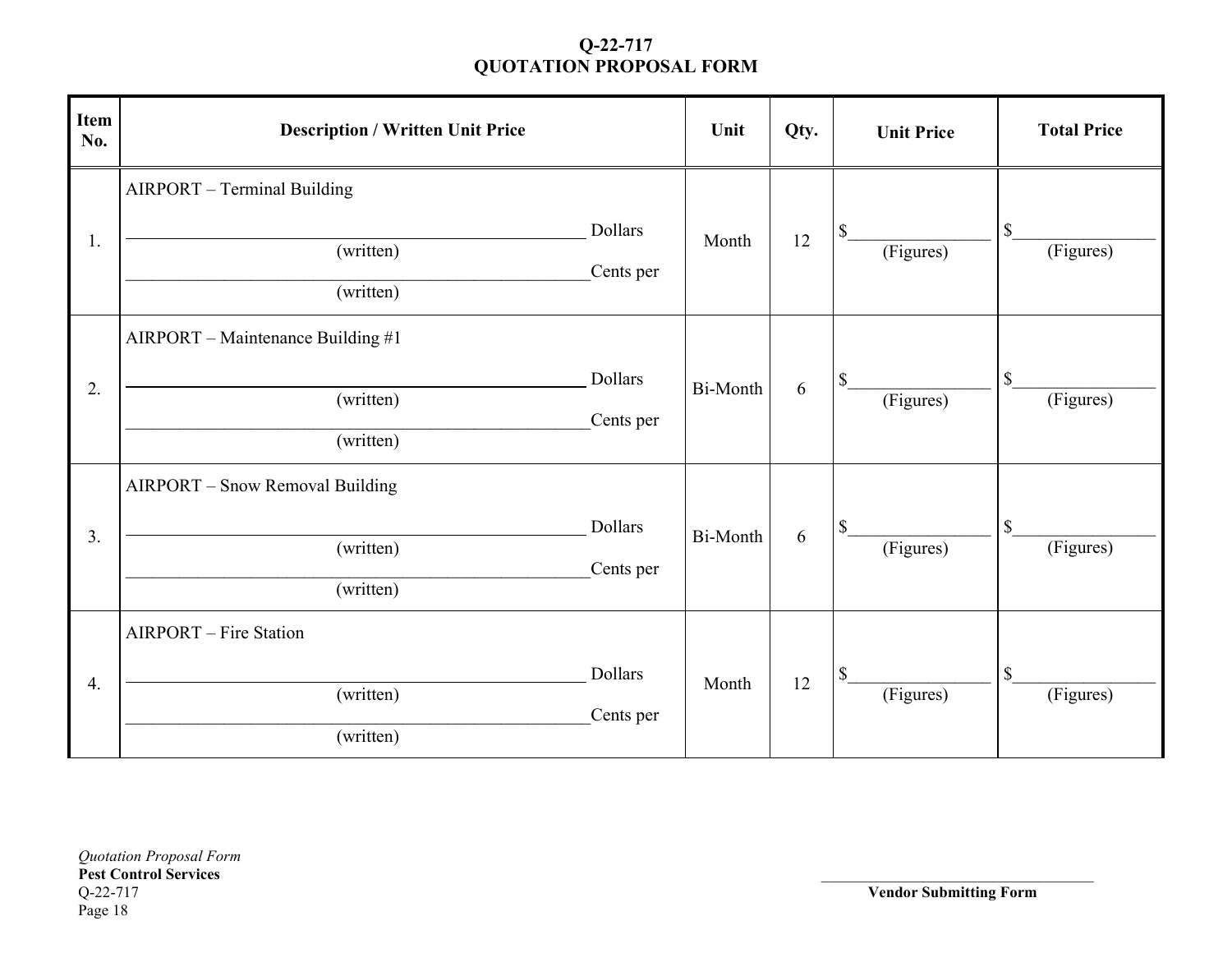| Item<br>No. | <b>Description / Written Unit Price</b>                     |                             | Unit     | Qty. | <b>Unit Price</b> | <b>Total Price</b>                     |
|-------------|-------------------------------------------------------------|-----------------------------|----------|------|-------------------|----------------------------------------|
| 1.          | AIRPORT - Terminal Building<br>(written)<br>(written)       | Dollars<br>Cents per        | Month    | 12   | \$<br>(Figures)   | $\boldsymbol{\mathsf{S}}$<br>(Figures) |
| 2.          | AIRPORT - Maintenance Building #1<br>(written)<br>(written) | <b>Dollars</b><br>Cents per | Bi-Month | 6    | \$<br>(Figures)   | $\$$<br>(Figures)                      |
| 3.          | AIRPORT - Snow Removal Building<br>(written)<br>(written)   | Dollars<br>Cents per        | Bi-Month | 6    | \$<br>(Figures)   | $\mathbb S$<br>(Figures)               |
| 4.          | <b>AIRPORT</b> – Fire Station<br>(written)<br>(written)     | Dollars<br>Cents per        | Month    | 12   | \$<br>(Figures)   | \$<br>(Figures)                        |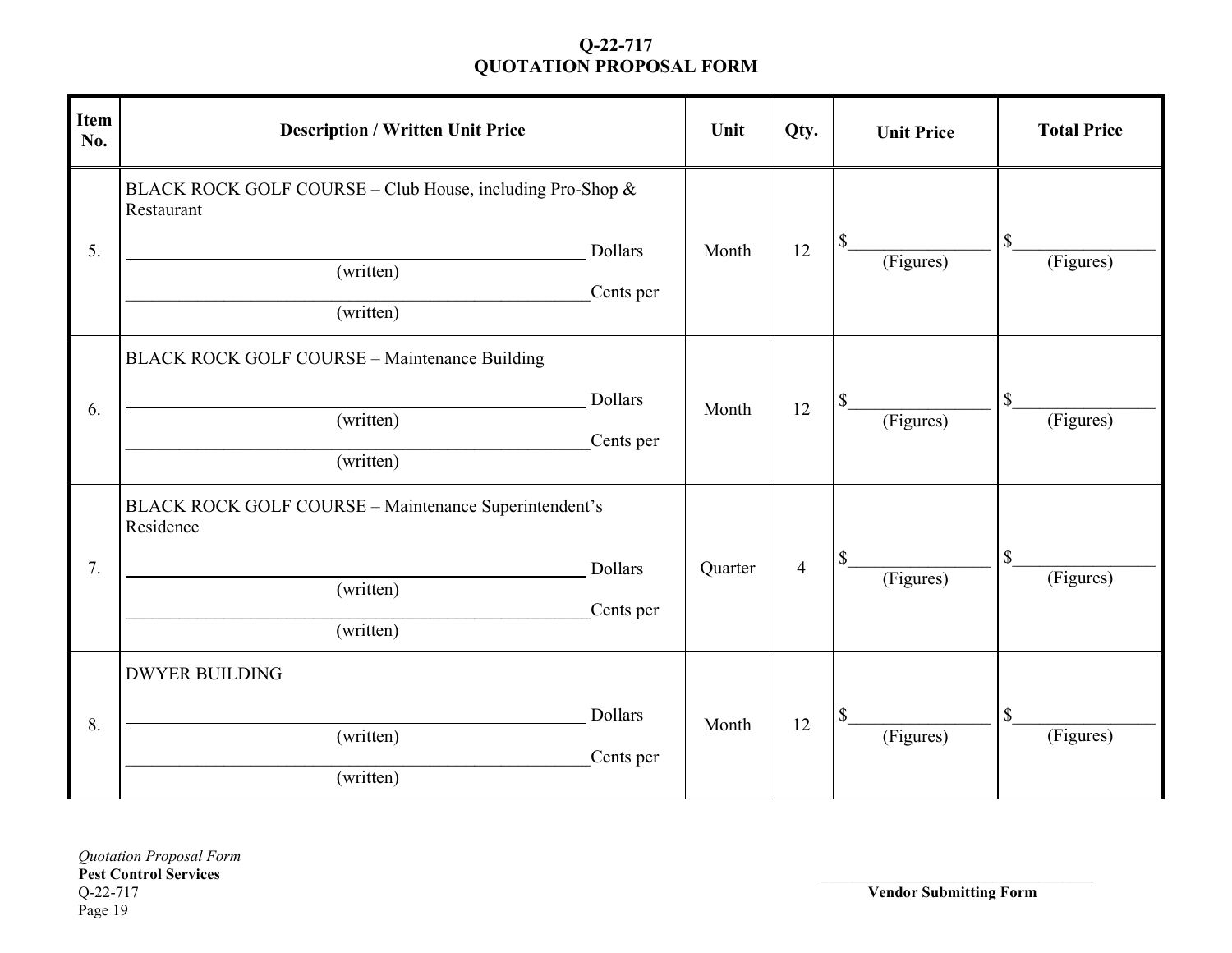| <b>Item</b><br>No. | <b>Description / Written Unit Price</b>                                                           |                             | Unit    | Qty.           | <b>Unit Price</b> | <b>Total Price</b>       |
|--------------------|---------------------------------------------------------------------------------------------------|-----------------------------|---------|----------------|-------------------|--------------------------|
| 5.                 | BLACK ROCK GOLF COURSE - Club House, including Pro-Shop &<br>Restaurant<br>(written)<br>(written) | <b>Dollars</b><br>Cents per | Month   | 12             | \$<br>(Figures)   | $\$$<br>(Figures)        |
| 6.                 | <b>BLACK ROCK GOLF COURSE - Maintenance Building</b><br>(written)<br>(written)                    | <b>Dollars</b><br>Cents per | Month   | 12             | (Figures)         | $\$$<br>(Figures)        |
| 7.                 | BLACK ROCK GOLF COURSE - Maintenance Superintendent's<br>Residence<br>(written)<br>(written)      | <b>Dollars</b><br>Cents per | Quarter | $\overline{4}$ | (Figures)         | $\mathbb S$<br>(Figures) |
| 8.                 | <b>DWYER BUILDING</b><br>(written)<br>(written)                                                   | Dollars<br>Cents per        | Month   | 12             | \$<br>(Figures)   | $\$$<br>(Figures)        |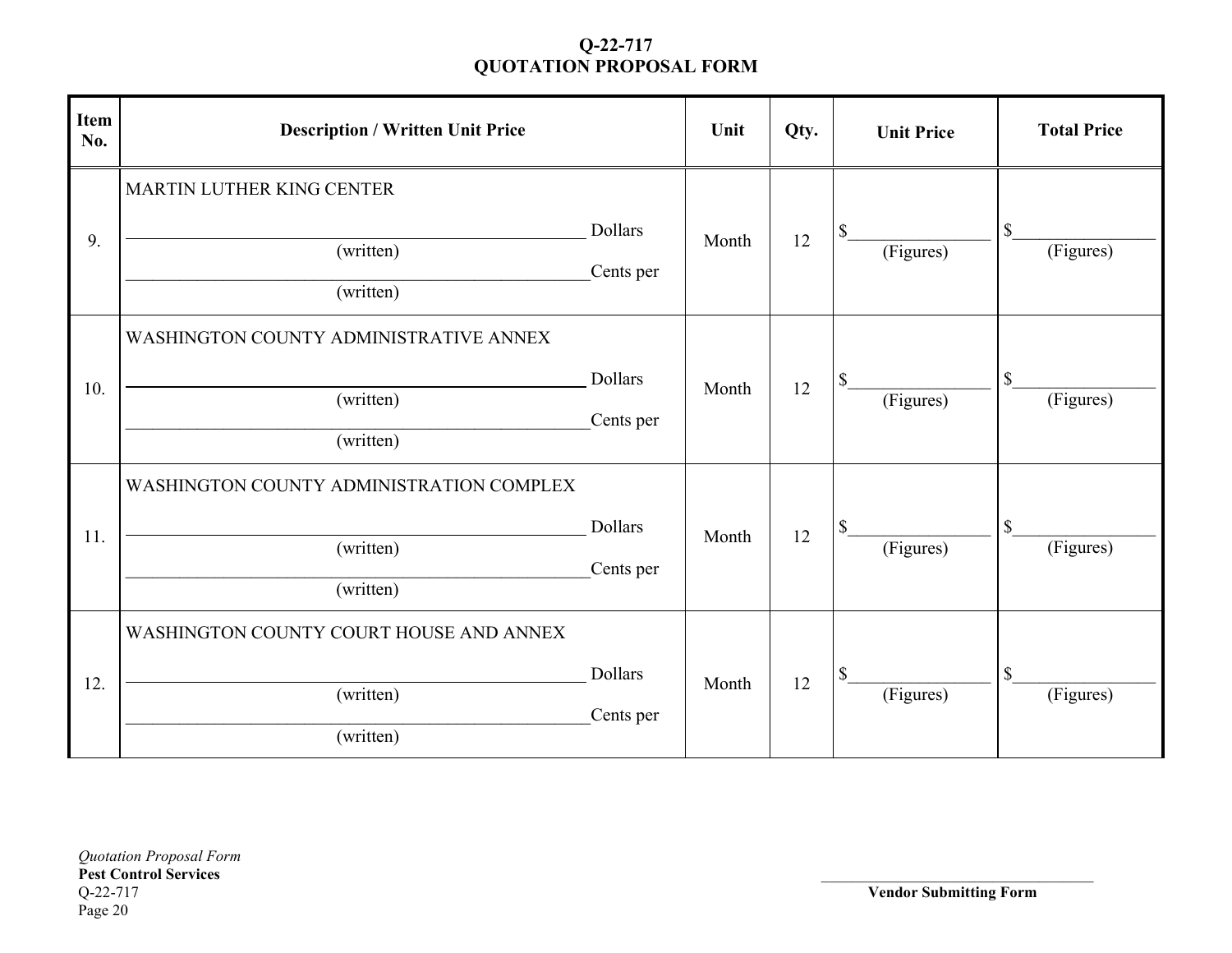| <b>Item</b><br>No. | <b>Description / Written Unit Price</b>                            |                             | Unit  | Qty. | <b>Unit Price</b> | <b>Total Price</b> |
|--------------------|--------------------------------------------------------------------|-----------------------------|-------|------|-------------------|--------------------|
| 9.                 | MARTIN LUTHER KING CENTER<br>(written)<br>(written)                | Dollars<br>Cents per        | Month | 12   | \$<br>(Figures)   | \$<br>(Figures)    |
| 10.                | WASHINGTON COUNTY ADMINISTRATIVE ANNEX<br>(written)<br>(written)   | <b>Dollars</b><br>Cents per | Month | 12   | \$<br>(Figures)   | \$<br>(Figures)    |
| 11.                | WASHINGTON COUNTY ADMINISTRATION COMPLEX<br>(written)<br>(written) | <b>Dollars</b><br>Cents per | Month | 12   | \$<br>(Figures)   | \$<br>(Figures)    |
| 12.                | WASHINGTON COUNTY COURT HOUSE AND ANNEX<br>(written)<br>(written)  | <b>Dollars</b><br>Cents per | Month | 12   | \$<br>(Figures)   | \$<br>(Figures)    |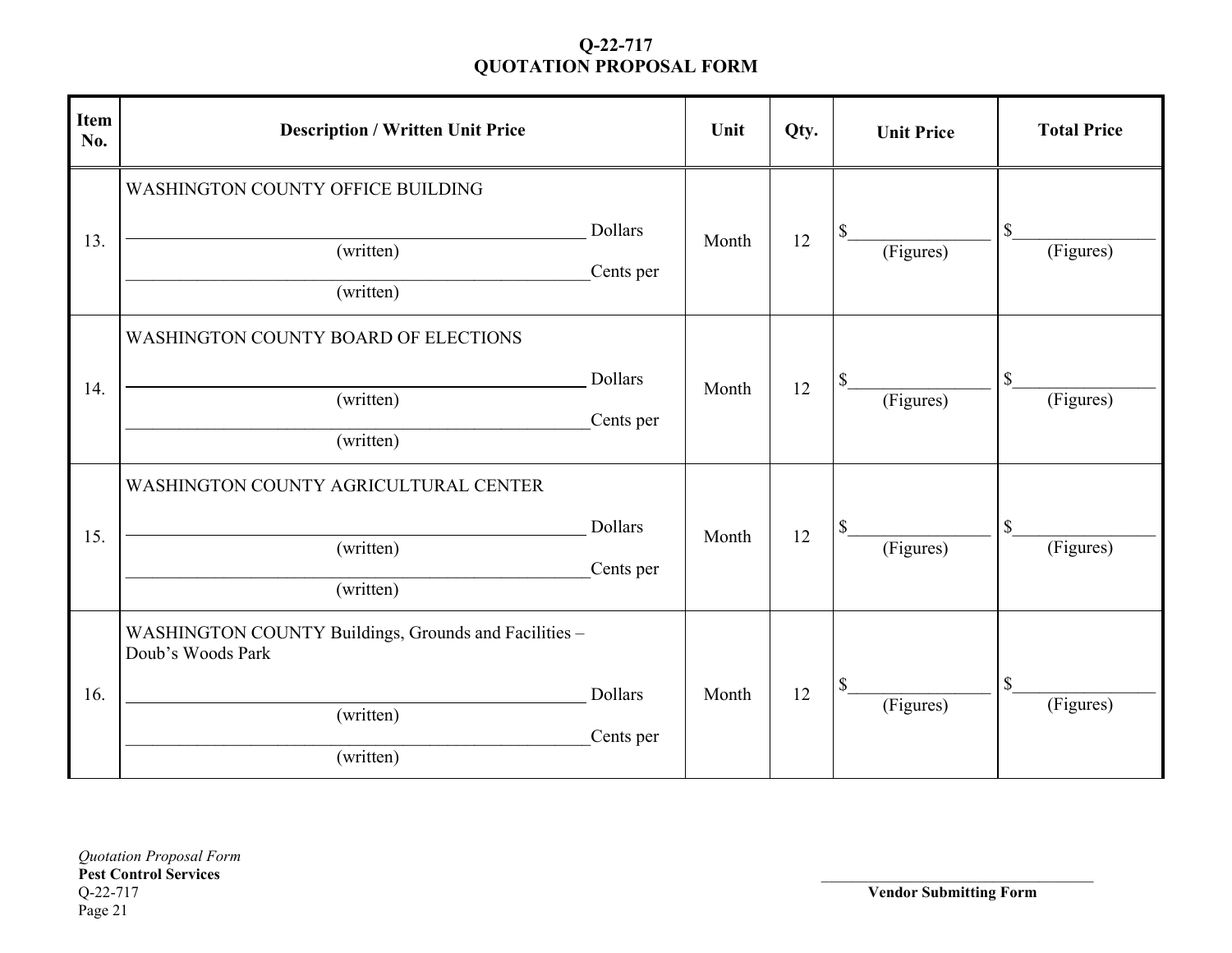| <b>Item</b><br>No. | <b>Description / Written Unit Price</b>                                                              |                             | Unit  | Qty. | <b>Unit Price</b> | <b>Total Price</b>                     |
|--------------------|------------------------------------------------------------------------------------------------------|-----------------------------|-------|------|-------------------|----------------------------------------|
| 13.                | <b>WASHINGTON COUNTY OFFICE BUILDING</b><br>(written)<br>(written)                                   | <b>Dollars</b><br>Cents per | Month | 12   | \$<br>(Figures)   | $\mathbb{S}$<br>(Figures)              |
| 14.                | <b>WASHINGTON COUNTY BOARD OF ELECTIONS</b><br>(written)<br>(written)                                | Dollars<br>Cents per        | Month | 12   | \$<br>(Figures)   | $\boldsymbol{\mathsf{S}}$<br>(Figures) |
| 15.                | WASHINGTON COUNTY AGRICULTURAL CENTER<br>(written)<br>(written)                                      | <b>Dollars</b><br>Cents per | Month | 12   | \$<br>(Figures)   | $\mathbb{S}$<br>(Figures)              |
| 16.                | WASHINGTON COUNTY Buildings, Grounds and Facilities -<br>Doub's Woods Park<br>(written)<br>(written) | <b>Dollars</b><br>Cents per | Month | 12   | \$<br>(Figures)   | \$<br>(Figures)                        |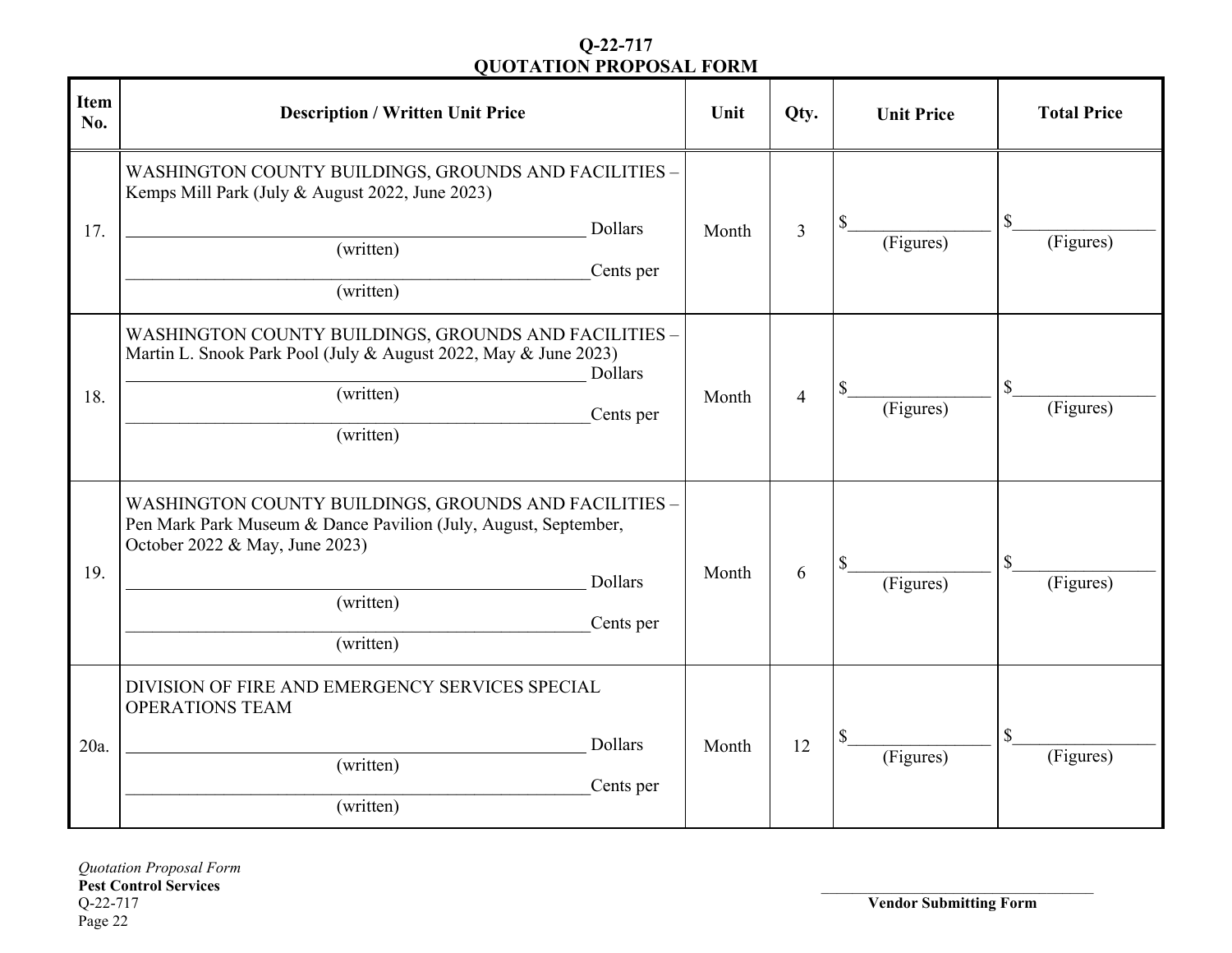| <b>Item</b><br>No. | <b>Description / Written Unit Price</b>                                                                                                                                                                      | Unit  | Qty.           | <b>Unit Price</b> | <b>Total Price</b>                     |
|--------------------|--------------------------------------------------------------------------------------------------------------------------------------------------------------------------------------------------------------|-------|----------------|-------------------|----------------------------------------|
| 17.                | WASHINGTON COUNTY BUILDINGS, GROUNDS AND FACILITIES -<br>Kemps Mill Park (July & August 2022, June 2023)<br><b>Dollars</b><br>(written)<br>Cents per<br>(written)                                            | Month | $\overline{3}$ | \$<br>(Figures)   | $\mathbb{S}$<br>(Figures)              |
| 18.                | WASHINGTON COUNTY BUILDINGS, GROUNDS AND FACILITIES -<br>Martin L. Snook Park Pool (July & August 2022, May & June 2023)<br>Dollars<br>(written)<br>Cents per<br>(written)                                   | Month | $\overline{4}$ | \$<br>(Figures)   | $\mathbb S$<br>(Figures)               |
| 19.                | WASHINGTON COUNTY BUILDINGS, GROUNDS AND FACILITIES -<br>Pen Mark Park Museum & Dance Pavilion (July, August, September,<br>October 2022 & May, June 2023)<br>Dollars<br>(written)<br>Cents per<br>(written) | Month | 6              | \$<br>(Figures)   | $\boldsymbol{\mathsf{S}}$<br>(Figures) |
| 20a.               | DIVISION OF FIRE AND EMERGENCY SERVICES SPECIAL<br><b>OPERATIONS TEAM</b><br><b>Dollars</b><br>(written)<br>Cents per<br>(written)                                                                           | Month | 12             | (Figures)         | $\boldsymbol{\mathsf{S}}$<br>(Figures) |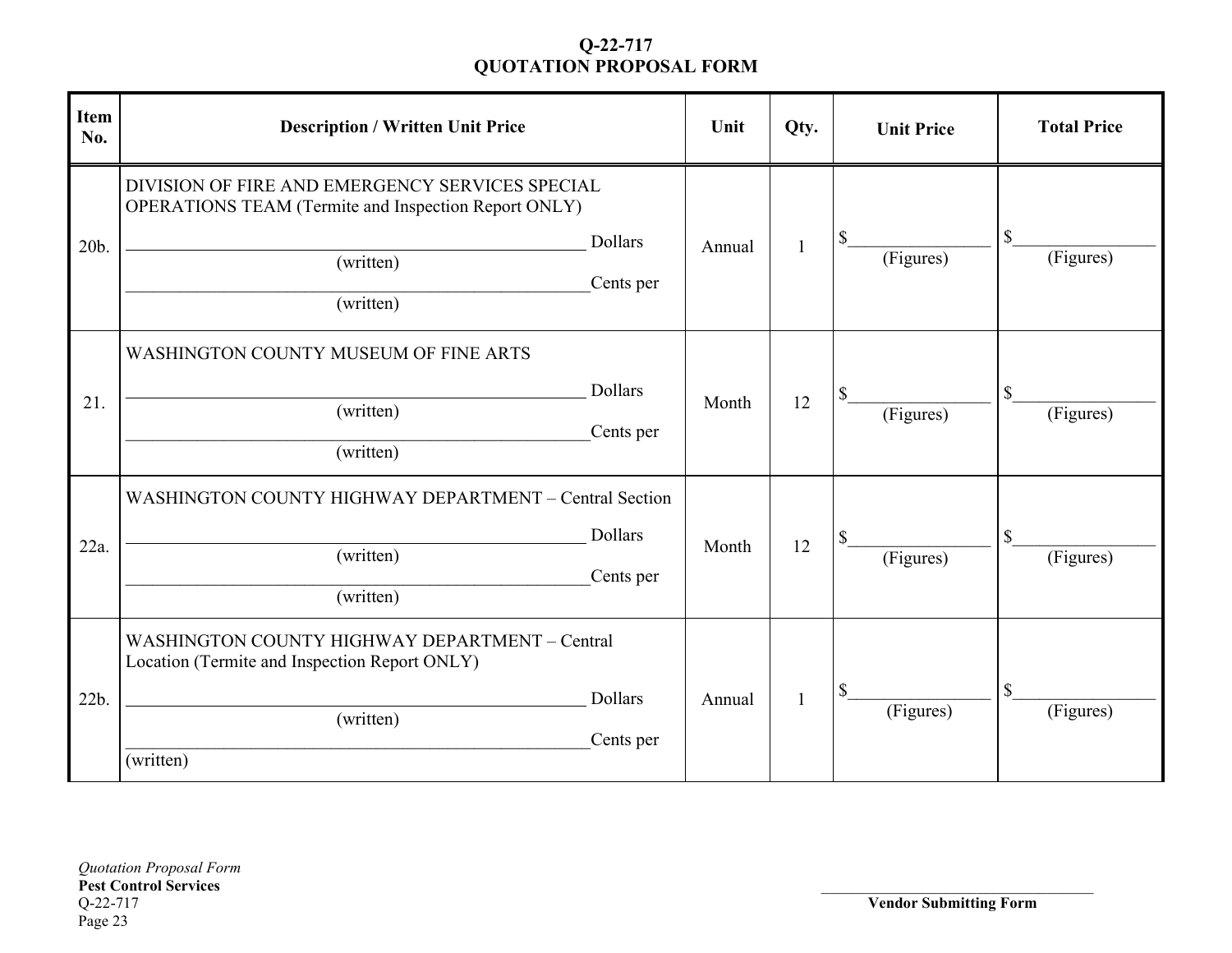| <b>Item</b><br>No. | <b>Description / Written Unit Price</b>                                                                                           |                             | Unit   | Qty.         | <b>Unit Price</b> | <b>Total Price</b> |
|--------------------|-----------------------------------------------------------------------------------------------------------------------------------|-----------------------------|--------|--------------|-------------------|--------------------|
| 20b.               | DIVISION OF FIRE AND EMERGENCY SERVICES SPECIAL<br>OPERATIONS TEAM (Termite and Inspection Report ONLY)<br>(written)<br>(written) | <b>Dollars</b><br>Cents per | Annual | $\mathbf{1}$ | \$<br>(Figures)   | \$<br>(Figures)    |
| 21.                | <b>WASHINGTON COUNTY MUSEUM OF FINE ARTS</b><br>(written)<br>(written)                                                            | Dollars<br>Cents per        | Month  | 12           | \$<br>(Figures)   | \$<br>(Figures)    |
| 22a.               | WASHINGTON COUNTY HIGHWAY DEPARTMENT - Central Section<br>(written)<br>(written)                                                  | <b>Dollars</b><br>Cents per | Month  | 12           | \$<br>(Figures)   | \$<br>(Figures)    |
| 22b.               | WASHINGTON COUNTY HIGHWAY DEPARTMENT - Central<br>Location (Termite and Inspection Report ONLY)<br>(written)<br>(written)         | <b>Dollars</b><br>Cents per | Annual | $\mathbf{1}$ | \$<br>(Figures)   | \$<br>(Figures)    |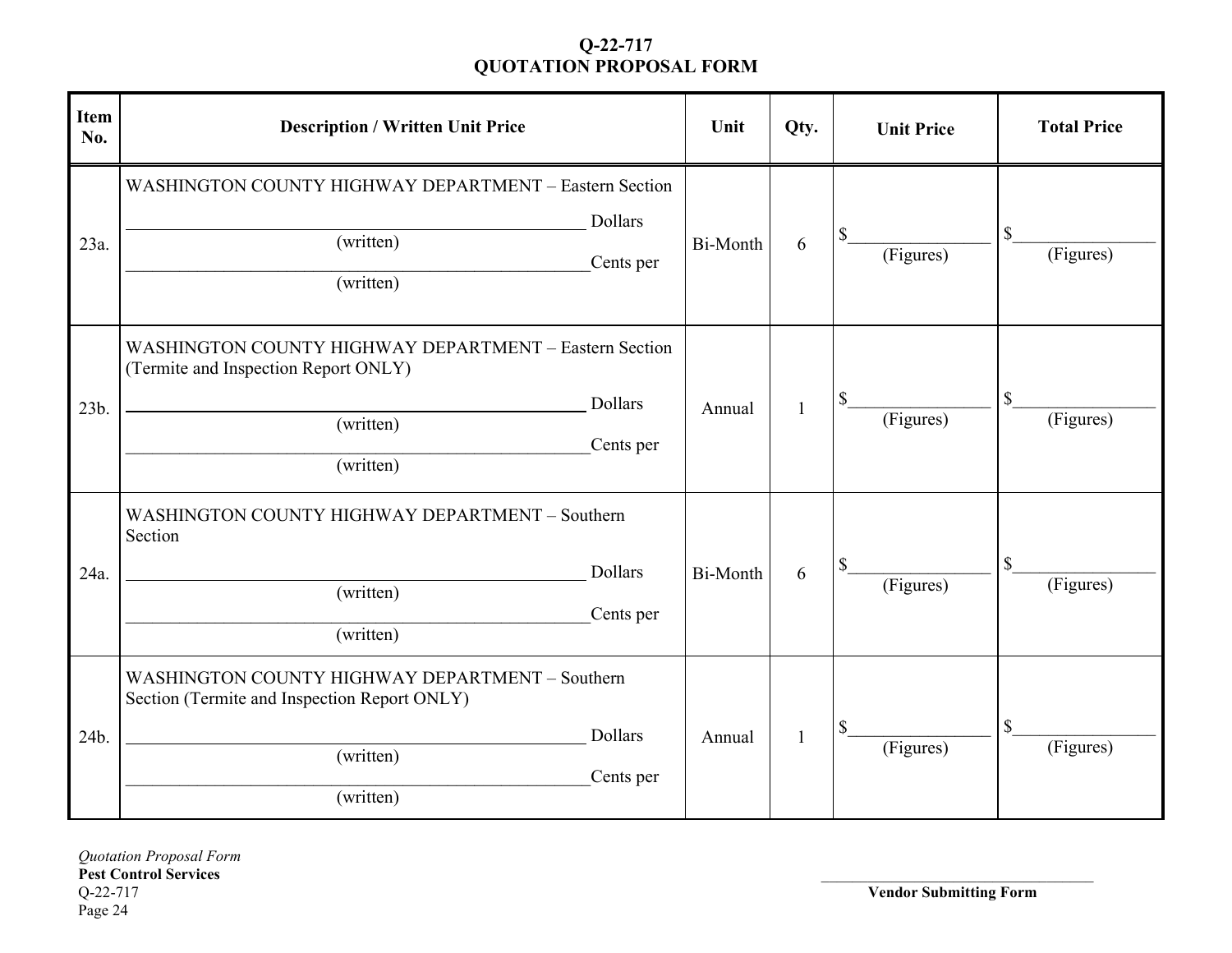| <b>Item</b><br>No. | <b>Description / Written Unit Price</b>                                                                                                           | Unit     | Qty. | <b>Unit Price</b> | <b>Total Price</b> |
|--------------------|---------------------------------------------------------------------------------------------------------------------------------------------------|----------|------|-------------------|--------------------|
| 23a.               | WASHINGTON COUNTY HIGHWAY DEPARTMENT - Eastern Section<br>Dollars<br>(written)<br>Cents per<br>(written)                                          | Bi-Month | 6    | \$<br>(Figures)   | \$<br>(Figures)    |
| 23b.               | WASHINGTON COUNTY HIGHWAY DEPARTMENT - Eastern Section<br>(Termite and Inspection Report ONLY)<br>Dollars<br>(written)<br>Cents per<br>(written)  | Annual   | 1    | \$<br>(Figures)   | \$<br>(Figures)    |
| 24a.               | WASHINGTON COUNTY HIGHWAY DEPARTMENT - Southern<br>Section<br>Dollars<br>(written)<br>Cents per<br>(written)                                      | Bi-Month | 6    | \$<br>(Figures)   | \$<br>(Figures)    |
| 24b.               | WASHINGTON COUNTY HIGHWAY DEPARTMENT - Southern<br>Section (Termite and Inspection Report ONLY)<br>Dollars<br>(written)<br>Cents per<br>(written) | Annual   | 1    | \$<br>(Figures)   | \$<br>(Figures)    |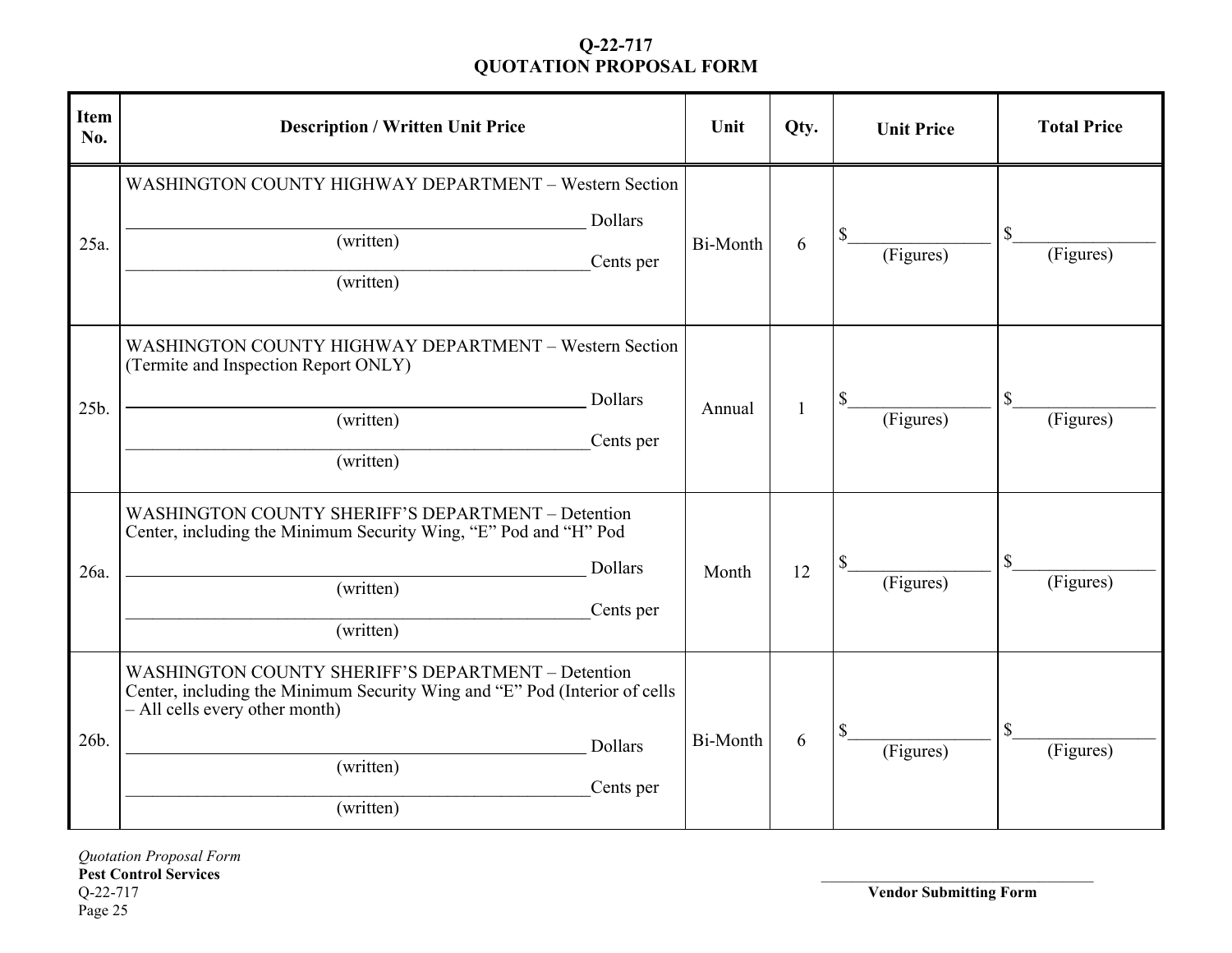| <b>Item</b><br>No. | <b>Description / Written Unit Price</b>                                                                                                                                                                                     | Unit            | Qty. | <b>Unit Price</b> | <b>Total Price</b> |
|--------------------|-----------------------------------------------------------------------------------------------------------------------------------------------------------------------------------------------------------------------------|-----------------|------|-------------------|--------------------|
| 25a.               | WASHINGTON COUNTY HIGHWAY DEPARTMENT - Western Section<br>Dollars<br>(written)<br>Cents per<br>(written)                                                                                                                    | Bi-Month        | 6    | (Figures)         | \$<br>(Figures)    |
| 25b.               | WASHINGTON COUNTY HIGHWAY DEPARTMENT - Western Section<br>(Termite and Inspection Report ONLY)<br>Dollars<br>(written)<br>Cents per<br>(written)                                                                            | Annual          | 1    | \$<br>(Figures)   | \$<br>(Figures)    |
| 26a.               | WASHINGTON COUNTY SHERIFF'S DEPARTMENT - Detention<br>Center, including the Minimum Security Wing, "E" Pod and "H" Pod<br><b>Dollars</b><br>(written)<br>Cents per<br>(written)                                             | Month           | 12   | (Figures)         | \$<br>(Figures)    |
| 26b.               | WASHINGTON COUNTY SHERIFF'S DEPARTMENT - Detention<br>Center, including the Minimum Security Wing and "E" Pod (Interior of cells<br>- All cells every other month)<br><b>Dollars</b><br>(written)<br>Cents per<br>(written) | <b>Bi-Month</b> | 6    | \$<br>(Figures)   | \$<br>(Figures)    |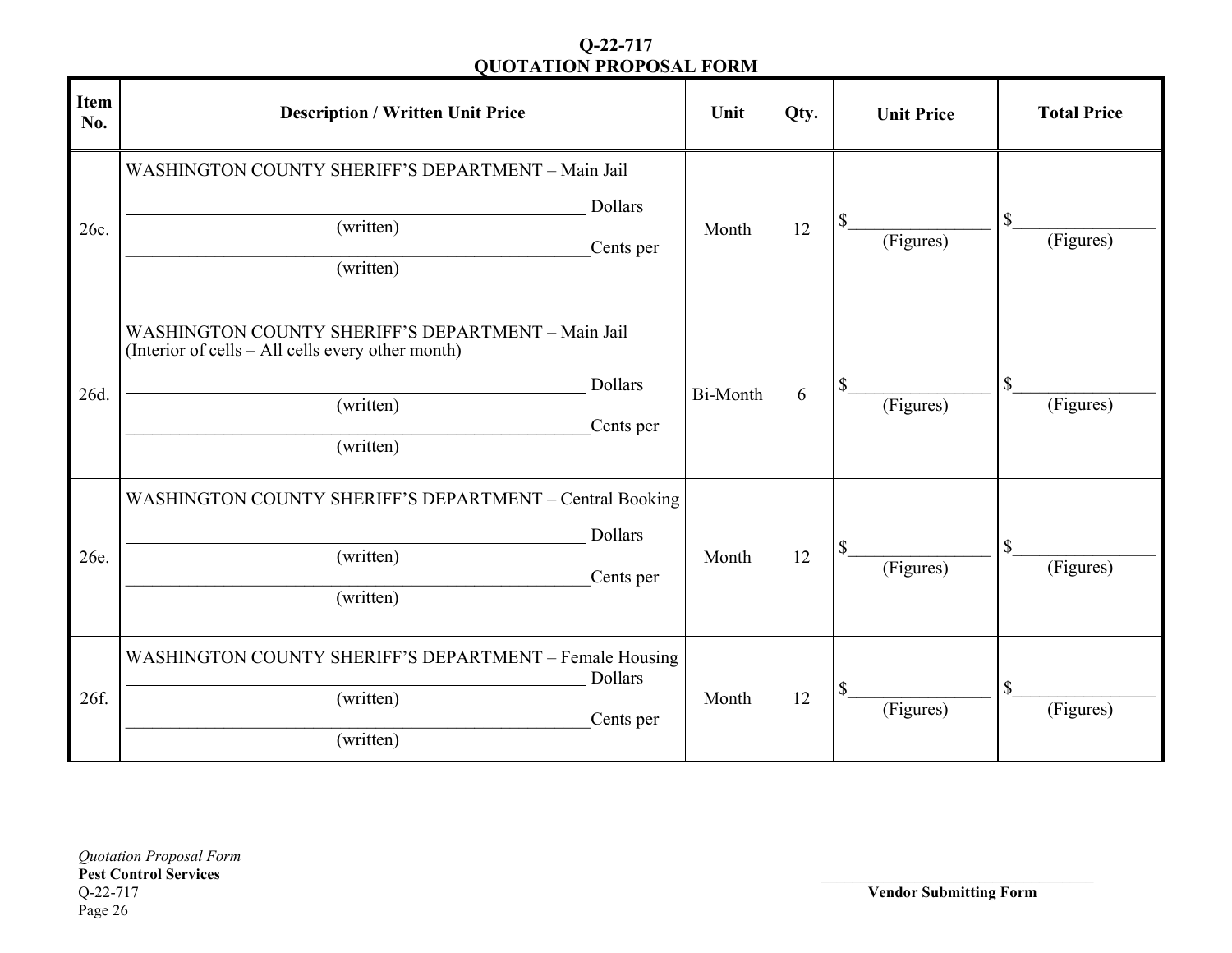| <b>Item</b><br>No. | <b>Description / Written Unit Price</b>                                                                                                                   | Unit     | Qty. | <b>Unit Price</b> | <b>Total Price</b>        |
|--------------------|-----------------------------------------------------------------------------------------------------------------------------------------------------------|----------|------|-------------------|---------------------------|
| 26c.               | WASHINGTON COUNTY SHERIFF'S DEPARTMENT - Main Jail<br>Dollars<br>(written)<br>Cents per<br>(written)                                                      | Month    | 12   | \$<br>(Figures)   | $\mathbb{S}$<br>(Figures) |
| 26d.               | WASHINGTON COUNTY SHERIFF'S DEPARTMENT - Main Jail<br>(Interior of cells – All cells every other month)<br>Dollars<br>(written)<br>Cents per<br>(written) | Bi-Month | 6    | \$<br>(Figures)   | \$<br>(Figures)           |
| 26e.               | WASHINGTON COUNTY SHERIFF'S DEPARTMENT - Central Booking<br>Dollars<br>(written)<br>Cents per<br>(written)                                                | Month    | 12   | \$<br>(Figures)   | $\mathbb S$<br>(Figures)  |
| 26f.               | WASHINGTON COUNTY SHERIFF'S DEPARTMENT – Female Housing<br>Dollars<br>(written)<br>Cents per<br>(written)                                                 | Month    | 12   | \$<br>(Figures)   | $\mathbb{S}$<br>(Figures) |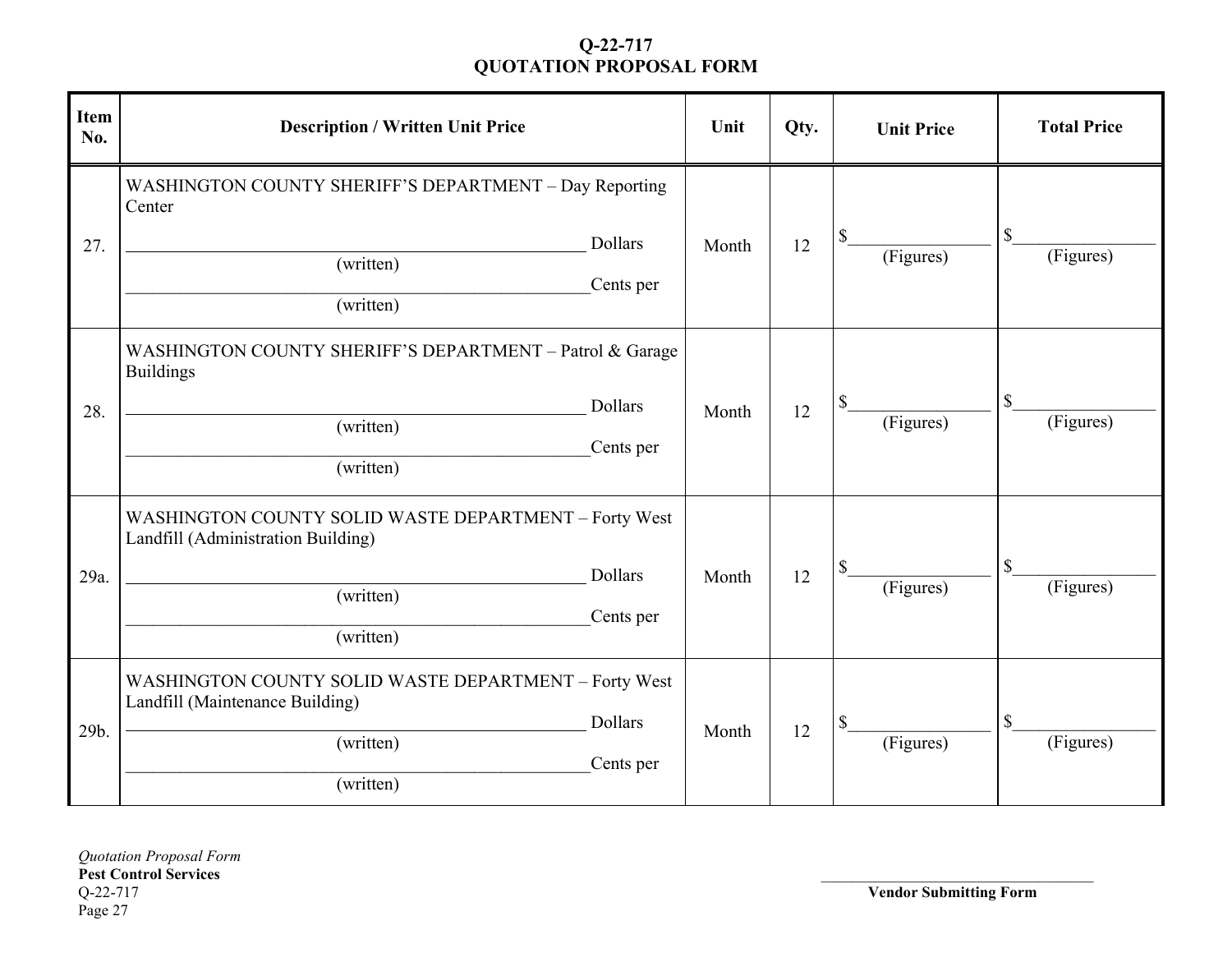| <b>Item</b><br>No. | <b>Description / Written Unit Price</b>                                                                               |                             | Unit  | Qty. | <b>Unit Price</b> | <b>Total Price</b>                     |
|--------------------|-----------------------------------------------------------------------------------------------------------------------|-----------------------------|-------|------|-------------------|----------------------------------------|
| 27.                | WASHINGTON COUNTY SHERIFF'S DEPARTMENT - Day Reporting<br>Center<br>(written)<br>(written)                            | <b>Dollars</b><br>Cents per | Month | 12   | \$<br>(Figures)   | \$<br>(Figures)                        |
| 28.                | WASHINGTON COUNTY SHERIFF'S DEPARTMENT - Patrol & Garage<br><b>Buildings</b><br>(written)<br>(written)                | <b>Dollars</b><br>Cents per | Month | 12   | \$<br>(Figures)   | $\boldsymbol{\mathsf{S}}$<br>(Figures) |
| 29a.               | WASHINGTON COUNTY SOLID WASTE DEPARTMENT - Forty West<br>Landfill (Administration Building)<br>(written)<br>(written) | <b>Dollars</b><br>Cents per | Month | 12   | \$<br>(Figures)   | $\mathbb{S}$<br>(Figures)              |
| 29b.               | WASHINGTON COUNTY SOLID WASTE DEPARTMENT - Forty West<br>Landfill (Maintenance Building)<br>(written)<br>(written)    | <b>Dollars</b><br>Cents per | Month | 12   | \$<br>(Figures)   | $\mathbb{S}$<br>(Figures)              |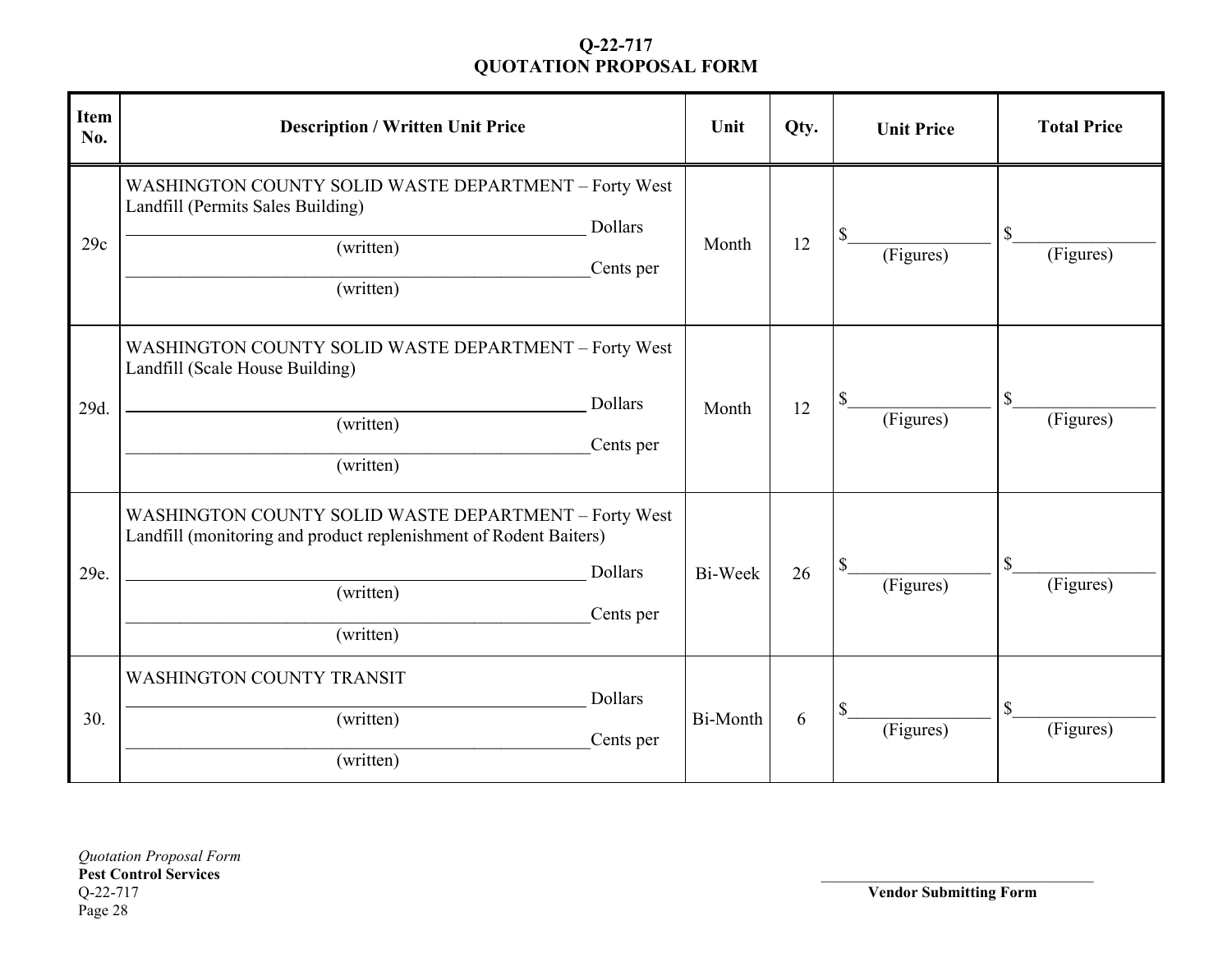| <b>Item</b><br>No. | <b>Description / Written Unit Price</b>                                                                                                                                             | Unit     | Qty. | <b>Unit Price</b> | <b>Total Price</b>       |
|--------------------|-------------------------------------------------------------------------------------------------------------------------------------------------------------------------------------|----------|------|-------------------|--------------------------|
| 29c                | WASHINGTON COUNTY SOLID WASTE DEPARTMENT - Forty West<br>Landfill (Permits Sales Building)<br><b>Dollars</b><br>(written)<br>Cents per<br>(written)                                 | Month    | 12   | \$<br>(Figures)   | \$<br>(Figures)          |
| 29d.               | WASHINGTON COUNTY SOLID WASTE DEPARTMENT - Forty West<br>Landfill (Scale House Building)<br>Dollars<br>(written)<br>Cents per<br>(written)                                          | Month    | 12   | \$<br>(Figures)   | \$<br>(Figures)          |
| 29e.               | WASHINGTON COUNTY SOLID WASTE DEPARTMENT - Forty West<br>Landfill (monitoring and product replenishment of Rodent Baiters)<br><b>Dollars</b><br>(written)<br>Cents per<br>(written) | Bi-Week  | 26   | \$<br>(Figures)   | \$<br>(Figures)          |
| 30.                | <b>WASHINGTON COUNTY TRANSIT</b><br><b>Dollars</b><br>(written)<br>Cents per<br>(written)                                                                                           | Bi-Month | 6    | \$<br>(Figures)   | $\mathbb S$<br>(Figures) |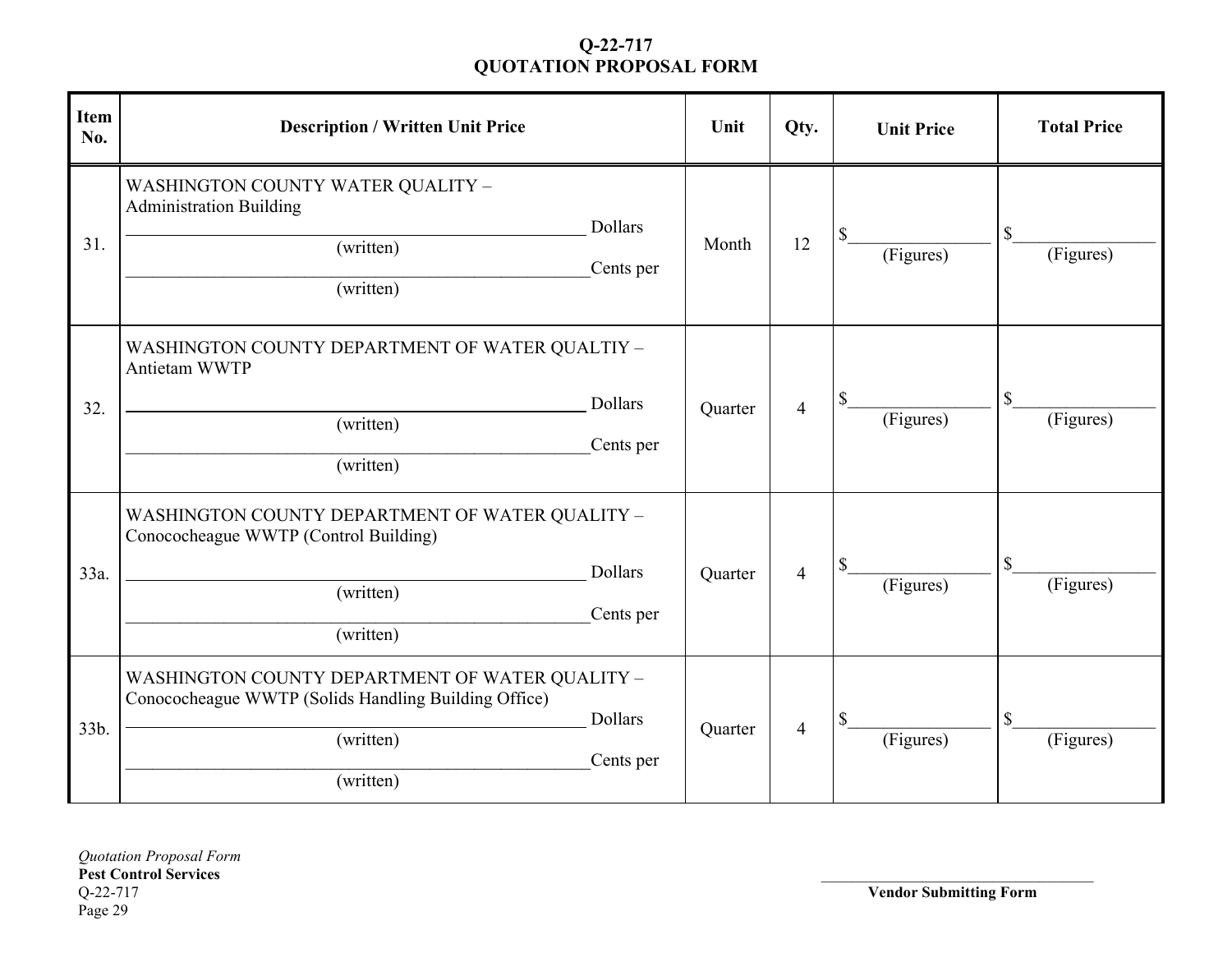| <b>Item</b><br>No. | <b>Description / Written Unit Price</b>                                                                                                                          | Unit    | Qty.           | <b>Unit Price</b> | <b>Total Price</b> |
|--------------------|------------------------------------------------------------------------------------------------------------------------------------------------------------------|---------|----------------|-------------------|--------------------|
| 31.                | <b>WASHINGTON COUNTY WATER QUALITY -</b><br><b>Administration Building</b><br>Dollars<br>(written)<br>Cents per<br>(written)                                     | Month   | 12             | \$<br>(Figures)   | \$<br>(Figures)    |
| 32.                | WASHINGTON COUNTY DEPARTMENT OF WATER QUALTIY -<br>Antietam WWTP<br><b>Dollars</b><br>(written)<br>Cents per<br>(written)                                        | Quarter | $\overline{4}$ | \$<br>(Figures)   | \$<br>(Figures)    |
| 33a.               | WASHINGTON COUNTY DEPARTMENT OF WATER QUALITY -<br>Conococheague WWTP (Control Building)<br><b>Dollars</b><br>(written)<br>Cents per<br>(written)                | Quarter | $\overline{4}$ | \$<br>(Figures)   | \$<br>(Figures)    |
| 33b.               | WASHINGTON COUNTY DEPARTMENT OF WATER QUALITY -<br>Conococheague WWTP (Solids Handling Building Office)<br><b>Dollars</b><br>(written)<br>Cents per<br>(written) | Quarter | $\overline{4}$ | \$<br>(Figures)   | \$<br>(Figures)    |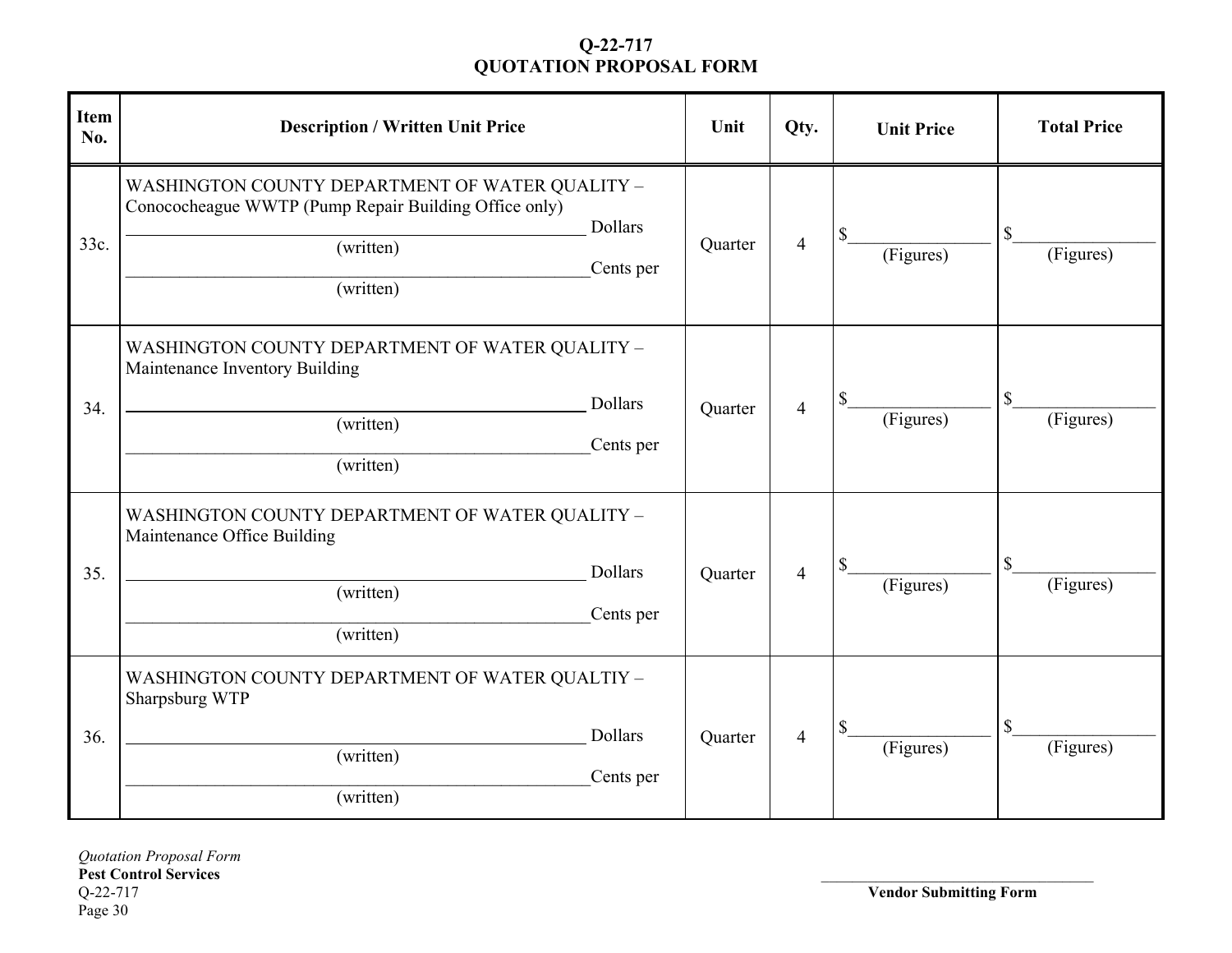| <b>Item</b><br>No. | <b>Description / Written Unit Price</b>                                                                                                                           | Unit    | Qty.           | <b>Unit Price</b> | <b>Total Price</b> |
|--------------------|-------------------------------------------------------------------------------------------------------------------------------------------------------------------|---------|----------------|-------------------|--------------------|
| 33c.               | WASHINGTON COUNTY DEPARTMENT OF WATER QUALITY -<br>Conococheague WWTP (Pump Repair Building Office only)<br><b>Dollars</b><br>(written)<br>Cents per<br>(written) | Quarter | $\overline{4}$ | \$<br>(Figures)   | \$<br>(Figures)    |
| 34.                | WASHINGTON COUNTY DEPARTMENT OF WATER QUALITY -<br>Maintenance Inventory Building<br><b>Dollars</b><br>(written)<br>Cents per<br>(written)                        | Quarter | $\overline{4}$ | \$<br>(Figures)   | \$<br>(Figures)    |
| 35.                | WASHINGTON COUNTY DEPARTMENT OF WATER QUALITY -<br>Maintenance Office Building<br>Dollars<br>(written)<br>Cents per<br>(written)                                  | Quarter | $\overline{4}$ | \$<br>(Figures)   | \$<br>(Figures)    |
| 36.                | WASHINGTON COUNTY DEPARTMENT OF WATER QUALTIY -<br>Sharpsburg WTP<br><b>Dollars</b><br>(written)<br>Cents per<br>(written)                                        | Quarter | $\overline{4}$ | \$<br>(Figures)   | \$<br>(Figures)    |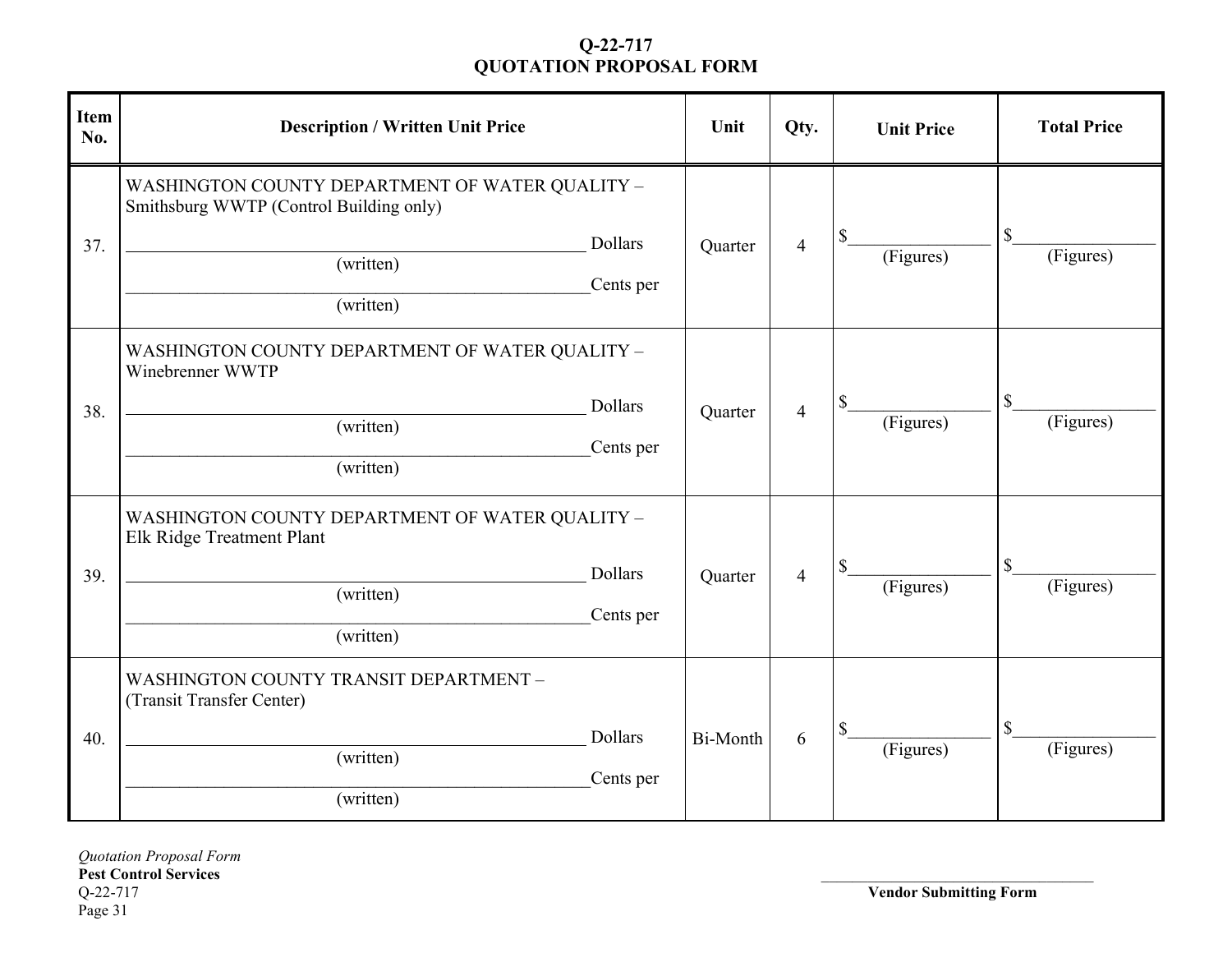| <b>Item</b><br>No. | <b>Description / Written Unit Price</b>                                                                                                      | Unit            | Qty.                     | <b>Unit Price</b> | <b>Total Price</b> |
|--------------------|----------------------------------------------------------------------------------------------------------------------------------------------|-----------------|--------------------------|-------------------|--------------------|
| 37.                | WASHINGTON COUNTY DEPARTMENT OF WATER QUALITY -<br>Smithsburg WWTP (Control Building only)<br>Dollars<br>(written)<br>Cents per<br>(written) | Quarter         | $\overline{4}$           | \$<br>(Figures)   | \$<br>(Figures)    |
| 38.                | WASHINGTON COUNTY DEPARTMENT OF WATER QUALITY -<br>Winebrenner WWTP<br><b>Dollars</b><br>(written)<br>Cents per<br>(written)                 | Quarter         | 4                        | \$<br>(Figures)   | \$<br>(Figures)    |
| 39.                | WASHINGTON COUNTY DEPARTMENT OF WATER QUALITY -<br>Elk Ridge Treatment Plant<br>Dollars<br>(written)<br>Cents per<br>(written)               | Quarter         | $\overline{\mathcal{A}}$ | \$<br>(Figures)   | \$<br>(Figures)    |
| 40.                | WASHINGTON COUNTY TRANSIT DEPARTMENT -<br>(Transit Transfer Center)<br><b>Dollars</b><br>(written)<br>Cents per<br>(written)                 | <b>Bi-Month</b> | 6                        | \$<br>(Figures)   | \$<br>(Figures)    |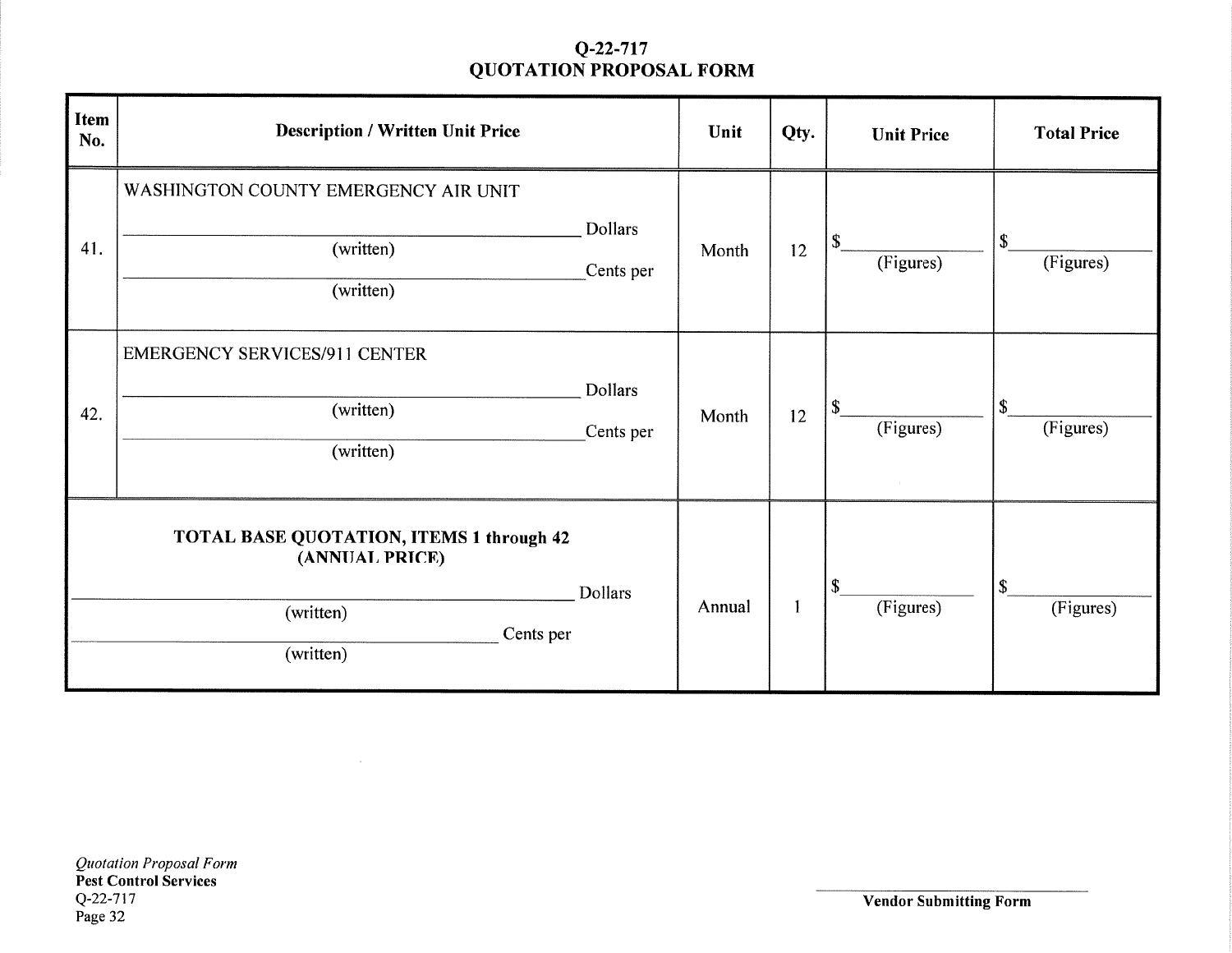| <b>Item</b><br>No. | <b>Description / Written Unit Price</b>                                                                  |                      | Unit   | Qty. | <b>Unit Price</b>                      | <b>Total Price</b>                     |
|--------------------|----------------------------------------------------------------------------------------------------------|----------------------|--------|------|----------------------------------------|----------------------------------------|
| 41.                | WASHINGTON COUNTY EMERGENCY AIR UNIT<br>(written)<br>(written)                                           | Dollars<br>Cents per | Month  | 12   | \$<br>(Figures)                        | \$<br>(Figures)                        |
| 42.                | <b>EMERGENCY SERVICES/911 CENTER</b><br>(written)<br>(written)                                           | Dollars<br>Cents per | Month  | 12   | \$<br>(Figures)                        | \$<br>(Figures)                        |
|                    | <b>TOTAL BASE QUOTATION, ITEMS 1 through 42</b><br>(ANNUAL PRICE)<br>(written)<br>Cents per<br>(written) | Dollars              | Annual |      | $\boldsymbol{\mathsf{S}}$<br>(Figures) | $\boldsymbol{\mathsf{S}}$<br>(Figures) |

 $\sim 10^7$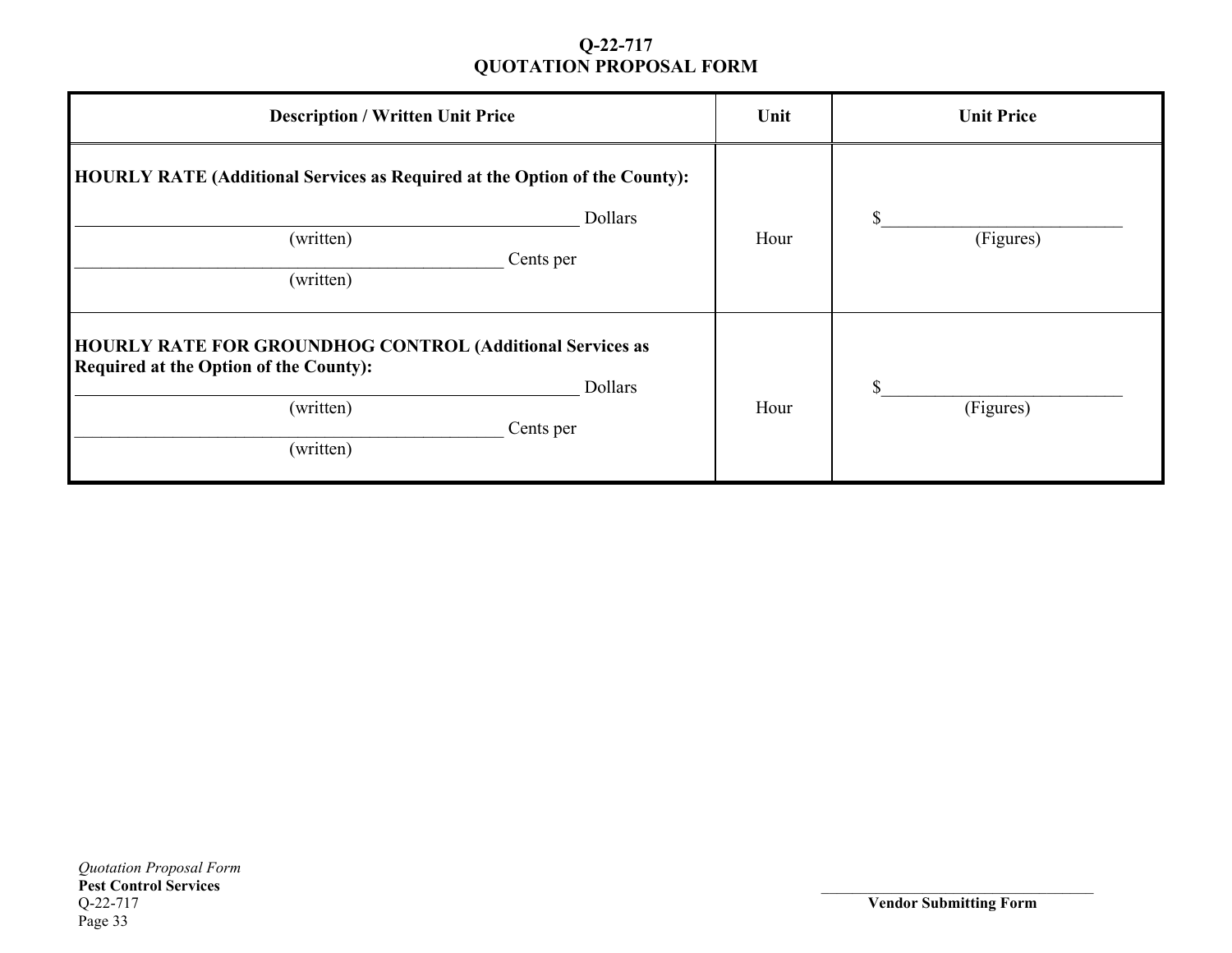| <b>Description / Written Unit Price</b>                                                                                                                             | Unit | <b>Unit Price</b> |
|---------------------------------------------------------------------------------------------------------------------------------------------------------------------|------|-------------------|
| <b>HOURLY RATE (Additional Services as Required at the Option of the County):</b><br>Dollars<br>(written)<br>Cents per<br>(written)                                 | Hour | (Figures)         |
| <b>HOURLY RATE FOR GROUNDHOG CONTROL (Additional Services as</b><br><b>Required at the Option of the County):</b><br>Dollars<br>(written)<br>Cents per<br>(written) | Hour | \$<br>(Figures)   |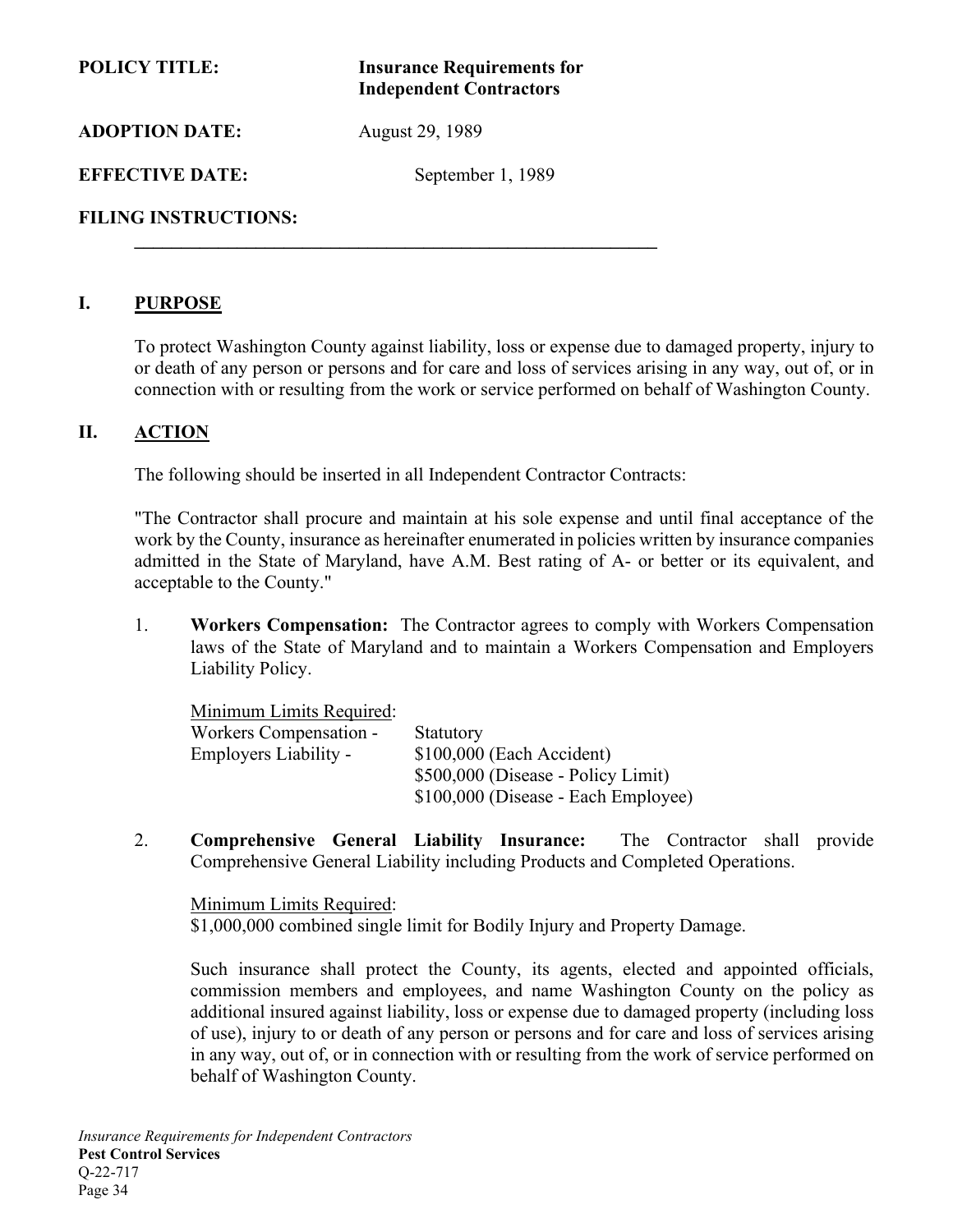| <b>POLICY TITLE:</b>        | <b>Insurance Requirements for</b><br><b>Independent Contractors</b> |  |  |
|-----------------------------|---------------------------------------------------------------------|--|--|
| <b>ADOPTION DATE:</b>       | August 29, 1989                                                     |  |  |
| <b>EFFECTIVE DATE:</b>      | September 1, 1989                                                   |  |  |
| <b>FILING INSTRUCTIONS:</b> |                                                                     |  |  |

 **\_\_\_\_\_\_\_\_\_\_\_\_\_\_\_\_\_\_\_\_\_\_\_\_\_\_\_\_\_\_\_\_\_\_\_\_\_\_\_\_\_\_\_\_\_\_\_\_\_\_\_\_\_\_\_\_** 

#### **I. PURPOSE**

To protect Washington County against liability, loss or expense due to damaged property, injury to or death of any person or persons and for care and loss of services arising in any way, out of, or in connection with or resulting from the work or service performed on behalf of Washington County.

#### **II. ACTION**

The following should be inserted in all Independent Contractor Contracts:

"The Contractor shall procure and maintain at his sole expense and until final acceptance of the work by the County, insurance as hereinafter enumerated in policies written by insurance companies admitted in the State of Maryland, have A.M. Best rating of A- or better or its equivalent, and acceptable to the County."

1. **Workers Compensation:** The Contractor agrees to comply with Workers Compensation laws of the State of Maryland and to maintain a Workers Compensation and Employers Liability Policy.

| Minimum Limits Required: |                                     |
|--------------------------|-------------------------------------|
| Workers Compensation -   | Statutory                           |
| Employers Liability -    | \$100,000 (Each Accident)           |
|                          | \$500,000 (Disease - Policy Limit)  |
|                          | \$100,000 (Disease - Each Employee) |

2. **Comprehensive General Liability Insurance:** The Contractor shall provide Comprehensive General Liability including Products and Completed Operations.

Minimum Limits Required: \$1,000,000 combined single limit for Bodily Injury and Property Damage.

Such insurance shall protect the County, its agents, elected and appointed officials, commission members and employees, and name Washington County on the policy as additional insured against liability, loss or expense due to damaged property (including loss of use), injury to or death of any person or persons and for care and loss of services arising in any way, out of, or in connection with or resulting from the work of service performed on behalf of Washington County.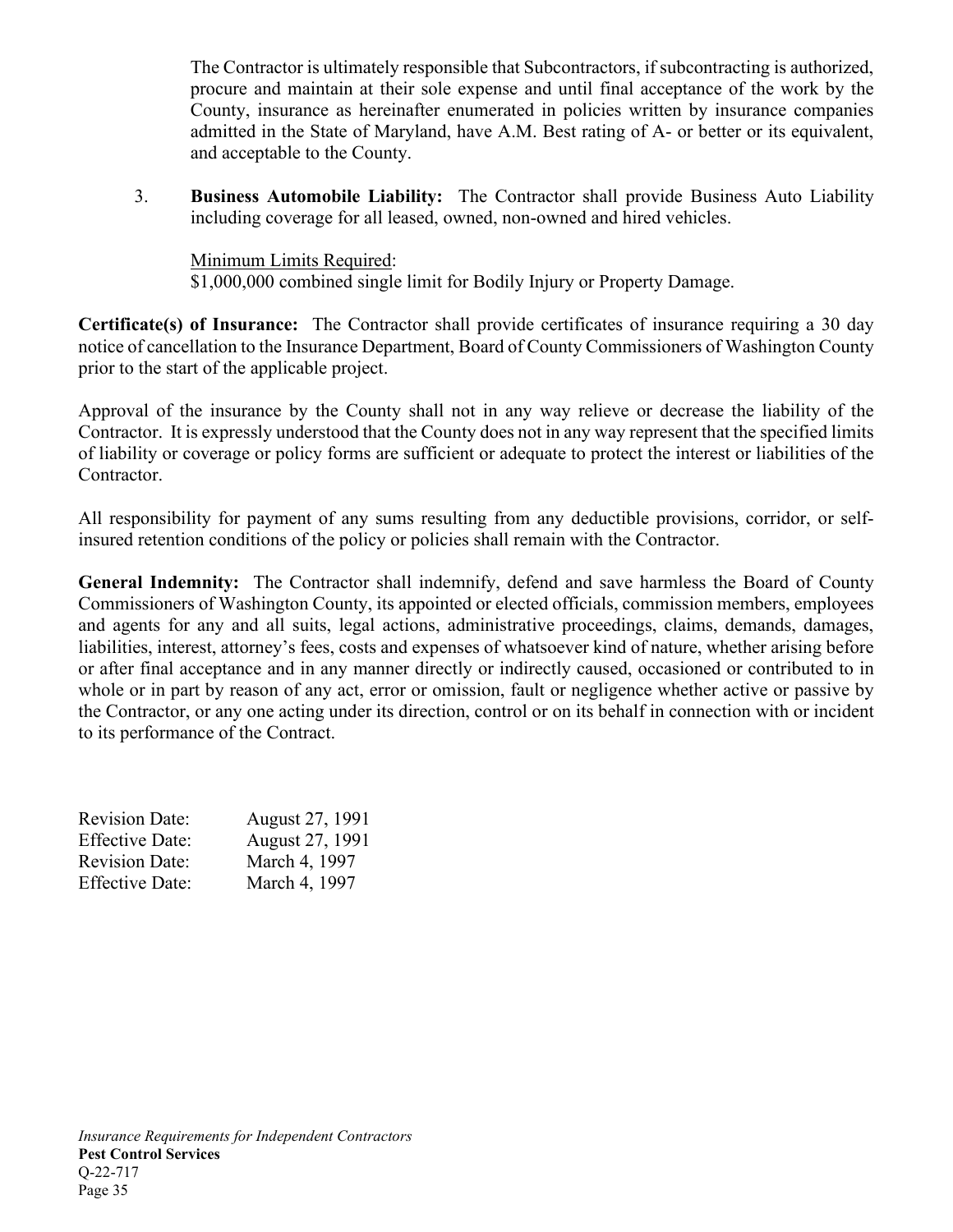The Contractor is ultimately responsible that Subcontractors, if subcontracting is authorized, procure and maintain at their sole expense and until final acceptance of the work by the County, insurance as hereinafter enumerated in policies written by insurance companies admitted in the State of Maryland, have A.M. Best rating of A- or better or its equivalent, and acceptable to the County.

3. **Business Automobile Liability:** The Contractor shall provide Business Auto Liability including coverage for all leased, owned, non-owned and hired vehicles.

Minimum Limits Required: \$1,000,000 combined single limit for Bodily Injury or Property Damage.

**Certificate(s) of Insurance:** The Contractor shall provide certificates of insurance requiring a 30 day notice of cancellation to the Insurance Department, Board of County Commissioners of Washington County prior to the start of the applicable project.

Approval of the insurance by the County shall not in any way relieve or decrease the liability of the Contractor. It is expressly understood that the County does not in any way represent that the specified limits of liability or coverage or policy forms are sufficient or adequate to protect the interest or liabilities of the Contractor.

All responsibility for payment of any sums resulting from any deductible provisions, corridor, or selfinsured retention conditions of the policy or policies shall remain with the Contractor.

**General Indemnity:** The Contractor shall indemnify, defend and save harmless the Board of County Commissioners of Washington County, its appointed or elected officials, commission members, employees and agents for any and all suits, legal actions, administrative proceedings, claims, demands, damages, liabilities, interest, attorney's fees, costs and expenses of whatsoever kind of nature, whether arising before or after final acceptance and in any manner directly or indirectly caused, occasioned or contributed to in whole or in part by reason of any act, error or omission, fault or negligence whether active or passive by the Contractor, or any one acting under its direction, control or on its behalf in connection with or incident to its performance of the Contract.

| <b>Revision Date:</b>  | August 27, 1991 |
|------------------------|-----------------|
| <b>Effective Date:</b> | August 27, 1991 |
| <b>Revision Date:</b>  | March 4, 1997   |
| <b>Effective Date:</b> | March 4, 1997   |